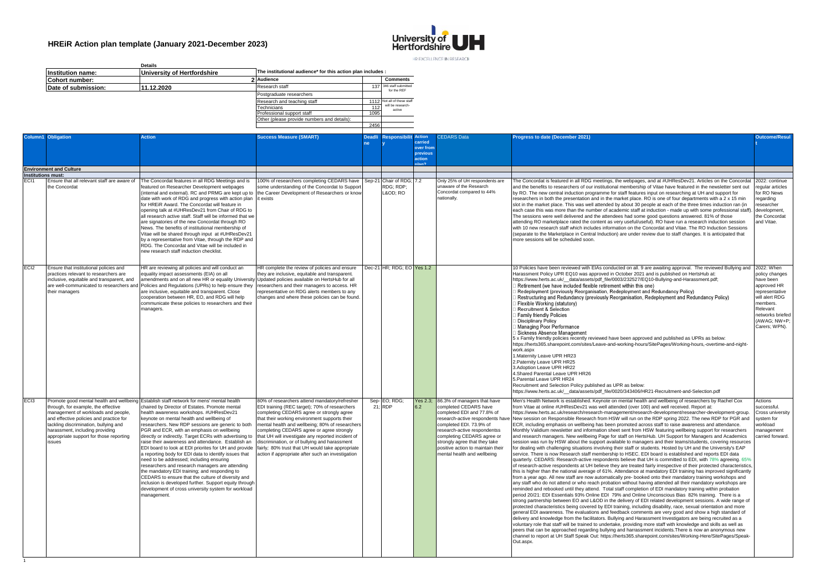$\overline{1}$ 



|                                                  | <b>Details</b> |                                                            |                                             |      |                                    |  |  |
|--------------------------------------------------|----------------|------------------------------------------------------------|---------------------------------------------|------|------------------------------------|--|--|
| Institution name:<br>University of Hertfordshire |                | The institutional audience* for this action plan includes: |                                             |      |                                    |  |  |
| Cohort number:                                   |                |                                                            | 2 Audience                                  |      | <b>Comments</b>                    |  |  |
| Date of submission:                              | 11.12.2020     |                                                            | Research staff                              | 137  | 346 staff submitted<br>for the REF |  |  |
|                                                  |                |                                                            | Postgraduate researchers                    |      |                                    |  |  |
|                                                  |                |                                                            | Research and teaching staff                 |      | 1112 Not all of these staff        |  |  |
|                                                  |                |                                                            | Technicians                                 | 112  | will be research-<br>active        |  |  |
|                                                  |                |                                                            | Professional support staff                  | 1095 |                                    |  |  |
|                                                  |                |                                                            | Other (please provide numbers and details): |      |                                    |  |  |
|                                                  |                |                                                            |                                             | 2456 |                                    |  |  |
|                                                  |                |                                                            |                                             |      |                                    |  |  |

|                           | <b>Column1</b> Obligation                                                                                                                                                                                                                              | <b>Action</b>                                                                                                                                                                                                                                                                                                                                                                                                                                                                                                                                                                                                                                                                                                                                                                                                                                                                                                  | <b>Success Measure (SMART)</b>                                                                                                                                                                                                                                                                                                                                                                                                                                                                              | Deadl | <b>Responsibilit Action</b> |                                                        | <b>CEDARS Data</b>                                                                                                                                                                                                                                                                                                            | <b>Progress to date (December 2021)</b>                                                                                                                                                                                                                                                                                                                                                                                                                                                                                                                                                                                                                                                                                                                                                                                                                                                                                                                                                                                                                                                                                                                                                                                                                                                                                                                                                                                                                                                                                                                                                                                                                                                                                                                                                                                                                                                                                                                                                                                                                                                                                                                                                                                                                                                                                                                                                                                                                                                                                                                                                                                                                                                                                                                | Outcome/Resul                                                                                                                                               |
|---------------------------|--------------------------------------------------------------------------------------------------------------------------------------------------------------------------------------------------------------------------------------------------------|----------------------------------------------------------------------------------------------------------------------------------------------------------------------------------------------------------------------------------------------------------------------------------------------------------------------------------------------------------------------------------------------------------------------------------------------------------------------------------------------------------------------------------------------------------------------------------------------------------------------------------------------------------------------------------------------------------------------------------------------------------------------------------------------------------------------------------------------------------------------------------------------------------------|-------------------------------------------------------------------------------------------------------------------------------------------------------------------------------------------------------------------------------------------------------------------------------------------------------------------------------------------------------------------------------------------------------------------------------------------------------------------------------------------------------------|-------|-----------------------------|--------------------------------------------------------|-------------------------------------------------------------------------------------------------------------------------------------------------------------------------------------------------------------------------------------------------------------------------------------------------------------------------------|--------------------------------------------------------------------------------------------------------------------------------------------------------------------------------------------------------------------------------------------------------------------------------------------------------------------------------------------------------------------------------------------------------------------------------------------------------------------------------------------------------------------------------------------------------------------------------------------------------------------------------------------------------------------------------------------------------------------------------------------------------------------------------------------------------------------------------------------------------------------------------------------------------------------------------------------------------------------------------------------------------------------------------------------------------------------------------------------------------------------------------------------------------------------------------------------------------------------------------------------------------------------------------------------------------------------------------------------------------------------------------------------------------------------------------------------------------------------------------------------------------------------------------------------------------------------------------------------------------------------------------------------------------------------------------------------------------------------------------------------------------------------------------------------------------------------------------------------------------------------------------------------------------------------------------------------------------------------------------------------------------------------------------------------------------------------------------------------------------------------------------------------------------------------------------------------------------------------------------------------------------------------------------------------------------------------------------------------------------------------------------------------------------------------------------------------------------------------------------------------------------------------------------------------------------------------------------------------------------------------------------------------------------------------------------------------------------------------------------------------------------|-------------------------------------------------------------------------------------------------------------------------------------------------------------|
|                           |                                                                                                                                                                                                                                                        |                                                                                                                                                                                                                                                                                                                                                                                                                                                                                                                                                                                                                                                                                                                                                                                                                                                                                                                |                                                                                                                                                                                                                                                                                                                                                                                                                                                                                                             |       |                             | arried<br><b>over from</b><br>previous<br><b>ction</b> |                                                                                                                                                                                                                                                                                                                               |                                                                                                                                                                                                                                                                                                                                                                                                                                                                                                                                                                                                                                                                                                                                                                                                                                                                                                                                                                                                                                                                                                                                                                                                                                                                                                                                                                                                                                                                                                                                                                                                                                                                                                                                                                                                                                                                                                                                                                                                                                                                                                                                                                                                                                                                                                                                                                                                                                                                                                                                                                                                                                                                                                                                                        |                                                                                                                                                             |
|                           | <b>Environment and Culture</b>                                                                                                                                                                                                                         |                                                                                                                                                                                                                                                                                                                                                                                                                                                                                                                                                                                                                                                                                                                                                                                                                                                                                                                |                                                                                                                                                                                                                                                                                                                                                                                                                                                                                                             |       |                             |                                                        |                                                                                                                                                                                                                                                                                                                               |                                                                                                                                                                                                                                                                                                                                                                                                                                                                                                                                                                                                                                                                                                                                                                                                                                                                                                                                                                                                                                                                                                                                                                                                                                                                                                                                                                                                                                                                                                                                                                                                                                                                                                                                                                                                                                                                                                                                                                                                                                                                                                                                                                                                                                                                                                                                                                                                                                                                                                                                                                                                                                                                                                                                                        |                                                                                                                                                             |
| <b>Institutions must:</b> |                                                                                                                                                                                                                                                        |                                                                                                                                                                                                                                                                                                                                                                                                                                                                                                                                                                                                                                                                                                                                                                                                                                                                                                                |                                                                                                                                                                                                                                                                                                                                                                                                                                                                                                             |       |                             |                                                        |                                                                                                                                                                                                                                                                                                                               |                                                                                                                                                                                                                                                                                                                                                                                                                                                                                                                                                                                                                                                                                                                                                                                                                                                                                                                                                                                                                                                                                                                                                                                                                                                                                                                                                                                                                                                                                                                                                                                                                                                                                                                                                                                                                                                                                                                                                                                                                                                                                                                                                                                                                                                                                                                                                                                                                                                                                                                                                                                                                                                                                                                                                        |                                                                                                                                                             |
| EC <sub>11</sub>          | Ensure that all relevant staff are aware of<br>the Concordat                                                                                                                                                                                           | The Concordat features in all RDG Meetings and is<br>eatured on Researcher Development webpages<br>(internal and external). RC and PRMG are kept up to<br>date with work of RDG and progress with action plan<br>for HREIR Award. The Concordat will feature in<br>opening talk at #UHResDev21 from Chair of RDG to<br>all research active staff. Staff will be informed that we<br>are signatories of the new Concordat through RO<br>News. The benefits of institutional membership of<br>Vitae will be shared through input at #UHResDev21<br>by a representative from Vitae, through the RDP and<br>RDG. The Concordat and Vitae will be included in<br>new research staff induction checklist.                                                                                                                                                                                                            | 100% of researchers completing CEDARS have Sep-21 Chair of RDG;<br>some understanding of the Concordat to Support<br>the Career Development of Researchers or know<br>it exists                                                                                                                                                                                                                                                                                                                             |       | RDG; RDP;<br>L&OD: RO       | 7.2                                                    | Only 25% of UH respondents are<br>unaware of the Research<br>Concordat compared to 44%<br>ationally.                                                                                                                                                                                                                          | The Concordat is featured in all RDG meetings, the webpages, and at #UHResDev21. Articles on the Concordat<br>and the benefits to researchers of our institutional membership of Vitae have featured in the newsletter sent out<br>by RO. The new central induction programme for staff features input on researching at UH and support for<br>researchers in both the presentation and in the market place. RO is one of four departments with a 2 x 15 min<br>slot in the market place. This was well attended by about 30 people at each of the three times induction ran (in<br>each case this was more than the number of academic staff at induction - made up with some professional staff).<br>The sessions were well delivered and the attendees had some good questions answered. 81% of those<br>attending RO marketplace rated the content as very useful/useful). RO have run a research induction session<br>with 10 new research staff which includes information on the Concordat and Vitae. The RO Induction Sessions<br>(separate to the Marketplace in Central Induction) are under review due to staff changes. It is anticipated that<br>more sessions will be scheduled soon.                                                                                                                                                                                                                                                                                                                                                                                                                                                                                                                                                                                                                                                                                                                                                                                                                                                                                                                                                                                                                                                                                                                                                                                                                                                                                                                                                                                                                                                                                                                                                    | 2022: continue<br>regular articles<br>for RO News<br>regarding<br>researcher<br>development.<br>the Concordat<br>and Vitae.                                 |
| EC <sub>12</sub>          | Ensure that institutional policies and<br>practices relevant to researchers are<br>inclusive, equitable and transparent, and<br>their managers                                                                                                         | HR are reviewing all policies and will conduct an<br>equality impact assessments (EIA) on all<br>amendments and on all new HR or equality University Updated policies available on HertsHub for all<br>are well-communicated to researchers and Policies and Regulations (UPRs) to help ensure they<br>are inclusive, equitable and transparent. Close<br>cooperation between HR. EO, and RDG will help<br>communicate these policies to researchers and their<br>managers.                                                                                                                                                                                                                                                                                                                                                                                                                                    | HR complete the review of policies and ensure<br>they are inclusive, equitable and transparent.<br>researchers and their managers to access. HR<br>representative on RDG alerts members to any<br>hanges and where these policies can be found                                                                                                                                                                                                                                                              |       | Dec-21 HR: RDG: EO Yes 1.2  |                                                        |                                                                                                                                                                                                                                                                                                                               | 10 Policies have been reviewed with EIAs conducted on all. 9 are awaiting approval. The reviewed Bullying and 2022: When<br>Harassment Policy UPR EQ10 was approved in October 2021 and is published on HertsHub at:<br>nttps://www.herts.ac.uk/ data/assets/pdf file/0003/232527/EQ10-Bullving-and-Harassment.pdf:<br>Retirement (we have included flexible retirement within this one)<br>Redeployment (previously Reorganisation, Redeployment and Redundancy Policy)<br>Restructuring and Redundancy (previously Reorganisation, Redeployment and Redundancy Policy)<br>Flexible Working (statutory)<br>Recruitment & Selection<br>Family friendly Policies<br><b>Disciplinary Policy</b><br>Managing Poor Performance<br>Sickness Absence Management<br>5 x Family friendly policies recently reviewed have been approved and published as UPRs as below:<br>https://herts365.sharepoint.com/sites/Leave-and-working-hours/SitePages/Working-hours,-overtime-and-night-<br>work.aspx<br>1. Maternity Leave UPR HR23<br>2. Paternity Leave UPR HR25<br>3.Adoption Leave UPR HR22<br>4. Shared Parental Leave UPR HR26<br>5. Parental Leave UPR HR24<br>Recruitment and Selection Policy published as UPR as below:<br>https://www.herts.ac.uk/ data/assets/pdf file/0020/343406/HR21-Recruitment-and-Selection.pdf                                                                                                                                                                                                                                                                                                                                                                                                                                                                                                                                                                                                                                                                                                                                                                                                                                                                                                                                                                                                                                                                                                                                                                                                                                                                                                                                                                                                                                 | policy changes<br>have been<br>approved HR<br>representative<br>will alert RDG<br>members.<br>Relevant<br>networks briefed<br>(AWAG; NW+P)<br>Carers: WPN). |
| EC <sub>13</sub>          | through, for example, the effective<br>management of workloads and people,<br>and effective policies and practice for<br>tackling discrimination, bullving and<br>harassment, including providing<br>appropriate support for those reporting<br>issues | Promote good mental health and wellbeing Establish staff network for mens' mental health<br>chaired by Director of Estates. Promote mental<br>health awareness workshops. #UHResDev21<br>keynote on mental health and wellbeing of<br>researchers. New RDP sessions are generic to both<br>PGR and ECR, with an emphasis on wellbeing<br>directly or indirectly. Target ECRs with advertising to<br>raise their awareness and attendance. Establish an<br>EDI board to look at EDI priorites for UH and provide<br>a reporting body for EDI data to identify issues that<br>need to be addressed: including ensuring<br>researchers and research managers are attending<br>the mandatory EDI training: and responding to<br>CEDARS to ensure that the culture of diversity and<br>inclusion is developed further. Support equity through<br>development of cross university system for workload<br>management. | 80% of researchers attend mandatory/refresher<br>EDI training (REC target); 70% of researchers<br>completing CEDARS agree or strongly agree<br>that their working environment supports their<br>mental health and wellbeing: 80% of researchers<br>completing CEDARS agree or agree strongly<br>that UH will investigate any reported incident of<br>discrimination, or of bullying and harassment<br>fairly; 80% trust that UH would take appropriate<br>action if appropriate after such an investigation |       | Sep-EO; RDG;<br>21: RDP     | 6.2                                                    | Yes 2.3: 86.3% of managers that have<br>completed CEDARS have<br>completed EDI and 77.8% of<br>research-active respondents have<br>completed EDI, 73,9% of<br>research-active respondentss<br>completing CEDARS agree or<br>strongly agree that they take<br>positive action to maintain their<br>mental health and wellbeing | Men's Health Network is established. Keynote on mental health and wellbeing of researchers by Rachel Cox<br>from Vitae at online #UHResDev21 was well attended (over 100) and well received. Report at:<br>https://www.herts.ac.uk/research/research-management/research-development/researcher-development-group.<br>New session on Responsible Research from HSW will run on the RDP spring 2022. The new RDP for PGR and<br>ECR, including emphasis on wellbeing has been promoted across staff to raise awareness and attendance.<br>Monthly Validium newsletter and information sheet sent from HSW featuring wellbeing support for researchers<br>and research managers. New wellbeing Page for staff on HertsHub. UH Support for Managers and Academics<br>session was run by HSW about the support available to managers and their teams/students, covering resources<br>for dealing with challenging situations involving their staff or students. Hosted by UH and the University's EAP<br>service. There is now Research staff membership to HSEC. EDI board is established and reports EDI data<br>quarterly, CEDARS: Research-active respondents believe that UH is committed to EDI, with 78% agreeing, 65%<br>of research-active respondents at UH believe they are treated fairly irrespective of their protected characteristics<br>this is higher than the national average of 61%. Attendance at mandatory EDI training has improved significantly<br>from a year ago. All new staff are now automatically pre- booked onto their mandatory training workshops and<br>any staff who do not attend or who reach probation without having attended all their mandatory workshops are<br>reminded and rebooked until they attend. Total staff completion of EDI mandatory training within probation<br>period 20/21: EDI Essentials 93% Online EDI 79% and Online Unconscious Bias 82% training. There is a<br>strong partnership between EO and L&OD in the delivery of EDI related development sessions. A wide range of<br>protected characteristics being covered by EDI training, including disability, race, sexual orientation and more<br>general EDI awareness. The evaluations and feedback comments are very good and show a high standard of<br>delivery and knowledge from the facilitators. Bullying and Harassment Investigators are being recruited as a<br>voluntary role that staff will be trained to undertake, providing more staff with knowledge and skills as well as<br>peers that can be approached regarding bullying and harrassment incidents. There is now an anonymous new<br>channel to report at UH Staff Speak Out: https://herts365.sharepoint.com/sites/Working-Here/SitePages/Speak-<br>Out.aspx. | Actions<br>successful.<br>Cross university<br>svstem for<br>workload<br>management<br>carried forward.                                                      |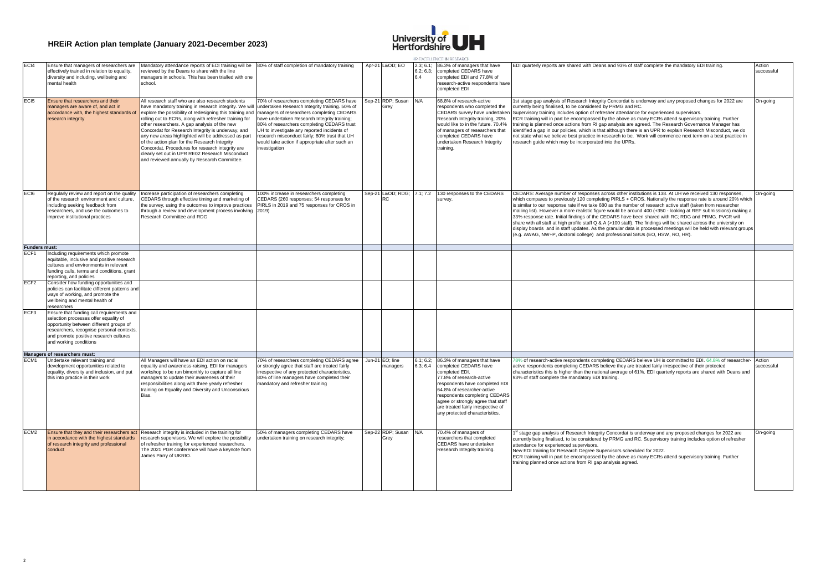

| EC <sub>I4</sub>             | Ensure that managers of researchers are<br>effectively trained in relation to equality,<br>diversity and including, wellbeing and<br>mental health                                                                                             | Mandatory attendance reports of EDI training will be 80% of staff completion of mandatory training<br>reviewed by the Deans to share with the line<br>managers in schools. This has been trialled with one<br>school.                                                                                                                                                                                                                                                                                                                                                                                                                                                                          |                                                                                                                                                                                                                                                                                                                  | Apr-21 L&OD EO              | 2.3; 6.1;<br>6.2; 6.3;<br>64 | 86.3% of managers that have<br>completed CEDARS have<br>completed EDI and 77.8% of<br>research-active respondents have<br>completed EDI                                                                                                                                                                           | EDI quarterly reports are shared with Deans and 93% of staff complete the mandatory EDI training.                                                                                                                                                                                                                                                                                                                                                                                                                                                                                                                                                                                                                                                                                                                                                                                             | Action<br>successful |
|------------------------------|------------------------------------------------------------------------------------------------------------------------------------------------------------------------------------------------------------------------------------------------|------------------------------------------------------------------------------------------------------------------------------------------------------------------------------------------------------------------------------------------------------------------------------------------------------------------------------------------------------------------------------------------------------------------------------------------------------------------------------------------------------------------------------------------------------------------------------------------------------------------------------------------------------------------------------------------------|------------------------------------------------------------------------------------------------------------------------------------------------------------------------------------------------------------------------------------------------------------------------------------------------------------------|-----------------------------|------------------------------|-------------------------------------------------------------------------------------------------------------------------------------------------------------------------------------------------------------------------------------------------------------------------------------------------------------------|-----------------------------------------------------------------------------------------------------------------------------------------------------------------------------------------------------------------------------------------------------------------------------------------------------------------------------------------------------------------------------------------------------------------------------------------------------------------------------------------------------------------------------------------------------------------------------------------------------------------------------------------------------------------------------------------------------------------------------------------------------------------------------------------------------------------------------------------------------------------------------------------------|----------------------|
| EC <sub>I5</sub>             | Ensure that researchers and their<br>managers are aware of, and act in<br>accordance with, the highest standards of<br>research integrity                                                                                                      | All research staff who are also research students<br>have mandatory training in research integrity. We will undertaken Research Integrity training. 50% of<br>explore the possibility of redesigning this training and managers of researchers completing CEDARS<br>rolling out to ECRs, along with refresher training for<br>other researchers. A gap analysis of the new<br>Concordat for Research Integrity is underway, and<br>any new areas highlighted will be addressed as part<br>of the action plan for the Research Integrity<br>Concordat. Procedures for research integrity are<br>clearly set out in UPR RE02 Research Misconduct<br>and reviewed annually by Research Committee. | '0% of researchers completing CEDARS have<br>have undertaken Research Integrity training;<br>80% of researchers completing CEDARS trust<br>UH to investigate any reported incidents of<br>research misconduct fairly; 80% trust that UH<br>would take action if appropriate after such an<br><b>nvestigation</b> | Sep-21 RDP; Susan<br>Grey   | N/A                          | 68.8% of research-active<br>respondents who completed the<br>CEDARS survey have undertaken<br>Research Integrity training, 20%<br>would like to in the future. 70.4%<br>of managers of researchers that<br>completed CEDARS have<br>undertaken Research Integrity<br>training.                                    | Ist stage gap analysis of Research Integrity Concordat is underway and any proposed changes for 2022 are<br>currently being finalised, to be considered by PRMG and RC.<br>Supervisory training includes option of refresher attendance for experienced supervisors.<br>ECR training will in part be encompassed by the above as many ECRs attend supervisory training. Further<br>raining is planned once actions from RI gap analysis are agreed. The Research Governance Manager has<br>identified a gap in our policies, which is that although there is an UPR to explain Research Misconduct, we do<br>not state what we believe best practice in research to be. Work will commence next term on a best practice in<br>research quide which may be incorporated into the UPRs.                                                                                                         | On-going             |
| EC <sub>I</sub> <sub>6</sub> | Regularly review and report on the quality<br>of the research environment and culture,<br>including seeking feedback from<br>researchers, and use the outcomes to<br>improve institutional practices                                           | ncrease participation of researchers completing<br>CEDARS through effective timing and marketing of<br>the survey, using the outcomes to improve practices<br>through a review and development process involving 2019)<br>Research Committee and RDG                                                                                                                                                                                                                                                                                                                                                                                                                                           | 00% increase in researchers completing<br>CEDARS (260 responses; 54 responses for<br>PIRLS in 2019 and 75 responses for CROS in                                                                                                                                                                                  | Sep-21 L&OD RDG;<br>RC      | 7.1; 7.2                     | 130 responses to the CEDARS<br>survey.                                                                                                                                                                                                                                                                            | CEDARS: Average number of responses across other institutions is 138. At UH we received 130 responses,<br>which compares to previously 120 completing PIRLS + CROS. Nationally the response rate is around 20% which<br>is similar to our response rate if we take 680 as the number of research active staff (taken from researcher<br>mailing list). However a more realistic figure would be around 400 (+350 - looking at REF submissions) making a<br>33% response rate. Initial findings of the CEDARS have been shared with RC; RDG and PRMG. PVCR will<br>share with all staff at high profile staff $Q \& A$ (>100 staff). The findings will be shared across the university on<br>display boards and in staff updates. As the granular data is processed meetings will be held with relevant groups<br>(e.g. AWAG, NW+P, doctoral college) and professional SBUs (EO, HSW, RO, HR). | On-going             |
| Funders must:                |                                                                                                                                                                                                                                                |                                                                                                                                                                                                                                                                                                                                                                                                                                                                                                                                                                                                                                                                                                |                                                                                                                                                                                                                                                                                                                  |                             |                              |                                                                                                                                                                                                                                                                                                                   |                                                                                                                                                                                                                                                                                                                                                                                                                                                                                                                                                                                                                                                                                                                                                                                                                                                                                               |                      |
|                              | Including requirements which promote                                                                                                                                                                                                           |                                                                                                                                                                                                                                                                                                                                                                                                                                                                                                                                                                                                                                                                                                |                                                                                                                                                                                                                                                                                                                  |                             |                              |                                                                                                                                                                                                                                                                                                                   |                                                                                                                                                                                                                                                                                                                                                                                                                                                                                                                                                                                                                                                                                                                                                                                                                                                                                               |                      |
|                              | equitable, inclusive and positive research<br>cultures and environments in relevant<br>funding calls, terms and conditions, grant<br>reporting, and policies                                                                                   |                                                                                                                                                                                                                                                                                                                                                                                                                                                                                                                                                                                                                                                                                                |                                                                                                                                                                                                                                                                                                                  |                             |                              |                                                                                                                                                                                                                                                                                                                   |                                                                                                                                                                                                                                                                                                                                                                                                                                                                                                                                                                                                                                                                                                                                                                                                                                                                                               |                      |
| ECF <sub>2</sub>             | Consider how funding opportunities and<br>policies can facilitate different patterns and<br>ways of working, and promote the<br>wellbeing and mental health of<br>researchers                                                                  |                                                                                                                                                                                                                                                                                                                                                                                                                                                                                                                                                                                                                                                                                                |                                                                                                                                                                                                                                                                                                                  |                             |                              |                                                                                                                                                                                                                                                                                                                   |                                                                                                                                                                                                                                                                                                                                                                                                                                                                                                                                                                                                                                                                                                                                                                                                                                                                                               |                      |
| ECF3                         | Ensure that funding call requirements and<br>selection processes offer equality of<br>opportunity between different groups of<br>researchers, recognise personal contexts,<br>and promote positive research cultures<br>and working conditions |                                                                                                                                                                                                                                                                                                                                                                                                                                                                                                                                                                                                                                                                                                |                                                                                                                                                                                                                                                                                                                  |                             |                              |                                                                                                                                                                                                                                                                                                                   |                                                                                                                                                                                                                                                                                                                                                                                                                                                                                                                                                                                                                                                                                                                                                                                                                                                                                               |                      |
|                              | Managers of researchers must:                                                                                                                                                                                                                  |                                                                                                                                                                                                                                                                                                                                                                                                                                                                                                                                                                                                                                                                                                |                                                                                                                                                                                                                                                                                                                  |                             |                              |                                                                                                                                                                                                                                                                                                                   |                                                                                                                                                                                                                                                                                                                                                                                                                                                                                                                                                                                                                                                                                                                                                                                                                                                                                               |                      |
| ECM <sub>1</sub>             | Undertake relevant training and<br>development opportunities related to<br>equality, diversity and inclusion, and put<br>this into practice in their work                                                                                      | All Managers will have an EDI action on racial<br>equality and awareness-raising. EDI for managers<br>workshop to be run bimonthly to capture all line<br>managers to update their awareness of their<br>responsibilities along with three yearly refresher<br>training on Equality and Diversity and Unconscious<br>Bias.                                                                                                                                                                                                                                                                                                                                                                     | 70% of researchers completing CEDARS agree<br>or strongly agree that staff are treated fairly<br>rrespective of any protected characteristics.<br>80% of line managers have completed their<br>nandatory and refresher training                                                                                  | Jun-21 EO; line<br>nanagers | 6.1; 6.2;<br>6.3; 6.4        | 86.3% of managers that have<br>completed CEDARS have<br>completed EDI.<br>77.8% of research-active<br>respondents have completed EDI<br>64.8% of researcher-active<br>respondents completing CEDARS<br>agree or strongly agree that staff<br>are treated fairly irrespective of<br>any protected characteristics. | 78% of research-active respondents completing CEDARS believe UH is committed to EDI. 64.8% of researcher-<br>active respondents completing CEDARS believe they are treated fairly irrespective of their protected<br>characteristics this is higher than the national average of 61%. EDI quarterly reports are shared with Deans and<br>93% of staff complete the mandatory EDI training.                                                                                                                                                                                                                                                                                                                                                                                                                                                                                                    | Action<br>successful |
| ECM <sub>2</sub>             | n accordance with the highest standards<br>of research integrity and professional<br>conduct                                                                                                                                                   | Ensure that they and their researchers act Research integrity is included in the training for<br>research supervisors. We will explore the possibility<br>of refresher training for experienced researchers.<br>The 2021 PGR conference will have a keynote from<br>James Parry of UKRIO.                                                                                                                                                                                                                                                                                                                                                                                                      | 50% of managers completing CEDARS have<br>undertaken training on research integrity;                                                                                                                                                                                                                             | Sep-22 RDP; Susan           | N/A                          | 70.4% of managers of<br>researchers that completed<br>CEDARS have undertaken<br>Research Integrity training.                                                                                                                                                                                                      | <sup>st</sup> stage gap analysis of Research Integrity Concordat is underway and any proposed changes for 2022 are<br>currently being finalised, to be considered by PRMG and RC. Supervisory training includes option of refresher<br>attendance for experienced supervisors.<br>New EDI training for Research Degree Supervisors scheduled for 2022.<br>ECR training will in part be encompassed by the above as many ECRs attend supervisory training. Further<br>training planned once actions from RI gap analysis agreed.                                                                                                                                                                                                                                                                                                                                                               | On-going             |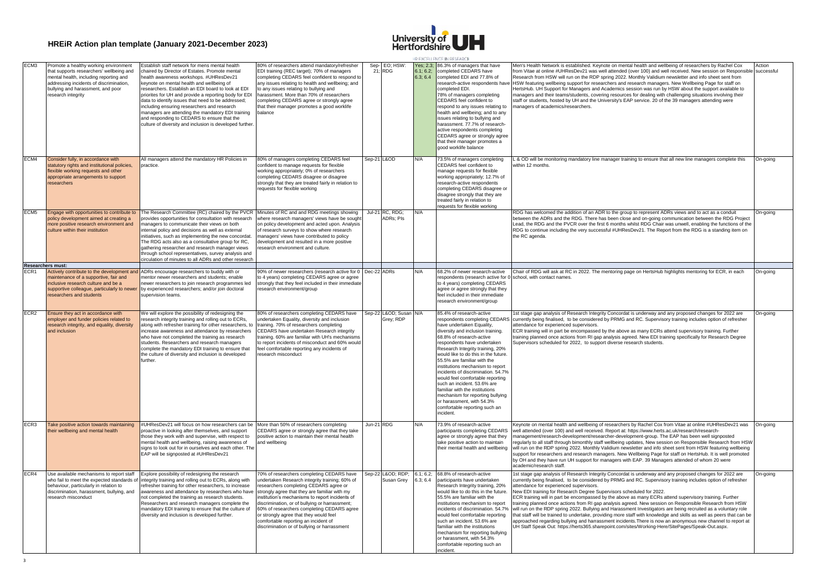

|                  |                                                                                                                                                                                                                                   |                                                                                                                                                                                                                                                                                                                                                                                                                                                                                                                                                                           |                                                                                                                                                                                                                                                                                                                                                                                                                                                                           |            |                                     |                       | HR EXCELLENCE IN RESEARCH                                                                                                                                                                                                                                                                                                                                                                                                                                                                                                                                     |                                                                                                                                                                                                                                                                                                                                                                                                                                                                                                                                                                                                                                                                                                                                                                                                                                                                                                                                                                                                                                 |                      |
|------------------|-----------------------------------------------------------------------------------------------------------------------------------------------------------------------------------------------------------------------------------|---------------------------------------------------------------------------------------------------------------------------------------------------------------------------------------------------------------------------------------------------------------------------------------------------------------------------------------------------------------------------------------------------------------------------------------------------------------------------------------------------------------------------------------------------------------------------|---------------------------------------------------------------------------------------------------------------------------------------------------------------------------------------------------------------------------------------------------------------------------------------------------------------------------------------------------------------------------------------------------------------------------------------------------------------------------|------------|-------------------------------------|-----------------------|---------------------------------------------------------------------------------------------------------------------------------------------------------------------------------------------------------------------------------------------------------------------------------------------------------------------------------------------------------------------------------------------------------------------------------------------------------------------------------------------------------------------------------------------------------------|---------------------------------------------------------------------------------------------------------------------------------------------------------------------------------------------------------------------------------------------------------------------------------------------------------------------------------------------------------------------------------------------------------------------------------------------------------------------------------------------------------------------------------------------------------------------------------------------------------------------------------------------------------------------------------------------------------------------------------------------------------------------------------------------------------------------------------------------------------------------------------------------------------------------------------------------------------------------------------------------------------------------------------|----------------------|
| ECM <sub>3</sub> | Promote a healthy working environment<br>that supports researchers' wellbeing and<br>mental health, including reporting and<br>addressing incidents of discrimination,<br>bullying and harassment, and poor<br>research integrity | Establish staff network for mens mental health<br>haired by Director of Estates. Promote mental<br>ealth awareness workshops. #UHResDev21<br>keynote on mental health and wellbeing of<br>researchers. Establish an EDI board to look at EDI<br>priorites for UH and provide a reporting body for EDI<br>data to identify issues that need to be addressed;<br>including ensuring researchers and research<br>managers are attending the mandatory EDI training<br>and responding to CEDARS to ensure that the<br>culture of diversity and inclusion is developed further | 80% of researchers attend mandatory/refresher<br>EDI training (REC target); 70% of managers<br>completing CEDARS feel confident to respond to<br>any issues relating to health and wellbeing; and<br>to any issues relating to bullying and<br>harassment. More than 70% of researchers<br>completing CEDARS agree or strongly agree<br>that their manager promotes a good worklife<br>balance                                                                            |            | Sep- EO: HSW:<br>21; RDG            | 6.1; 6.2;<br>6.3; 6.4 | Yes: 2.3: 86.3% of managers that have<br>completed CEDARS have<br>completed EDI and 77.8% of<br>research-active respondents have<br>completed EDI.<br>78% of managers completing<br>CEDARS feel confident to<br>respond to any issues relating to<br>health and wellbeing: and to any<br>issues relating to bullying and<br>harassment. 77.7% of research-<br>active respondents completing<br>CEDARS agree or strongly agree<br>that their manager promotes a<br>good worklife balance                                                                       | Men's Health Network is established. Keynote on mental health and wellbeing of researchers by Rachel Cox<br>from Vitae at online #UHResDev21 was well attended (over 100) and well received. New session on Responsibl<br>Research from HSW will run on the RDP spring 2022. Monthly Validium newsletter and info sheet sent from<br>HSW featuring wellbeing support for researchers and research managers. New Wellbeing Page for staff on<br>HertsHub. UH Support for Managers and Academics session was run by HSW about the support available to<br>managers and their teams/students, covering resources for dealing with challenging situations involving their<br>staff or students, hosted by UH and the University's EAP service. 20 of the 39 managers attending were<br>managers of academics/researchers.                                                                                                                                                                                                           | Action<br>successful |
| ECM4             | Consider fully, in accordance with<br>tatutory rights and institutional policies,<br>lexible working requests and other<br>appropriate arrangements to support<br>researchers                                                     | All managers attend the mandatory HR Policies in<br>practice.                                                                                                                                                                                                                                                                                                                                                                                                                                                                                                             | 80% of managers completing CEDARS feel<br>confident to manage requests for flexible<br>working appropriately; 0% of researchers<br>completing CEDARS disagree or disagree<br>strongly that they are treated fairly in relation to<br>requests for flexible working                                                                                                                                                                                                        |            | Sep-21 L&OD                         | N/A                   | 73.5% of managers completing<br>CEDARS feel confident to<br>manage requests for flexible<br>working appropriately; 12.7% of<br>research-active respondents<br>completing CEDARS disagree or<br>disagree strongly that they are<br>treated fairly in relation to<br>requests for flexible working                                                                                                                                                                                                                                                              | L & OD will be monitoring mandatory line manager training to ensure that all new line managers complete this<br>within 12 months                                                                                                                                                                                                                                                                                                                                                                                                                                                                                                                                                                                                                                                                                                                                                                                                                                                                                                | On-going             |
| ECM <sub>5</sub> | Engage with opportunities to contribute to<br>olicy development aimed at creating a<br>nore positive research environment and<br>sulture within their institution                                                                 | The Research Committee (RC) chaired by the PVCR Minutes of RC and and RDG meetings showing<br>provides opportunities for consultation with research<br>managers to communicate their views on both<br>internal policy and decisions as well as external<br>initiatives, such as implementing the new concordat.<br>The RDG acts also as a consultative group for RC,<br>aathering researcher and research manager views<br>hrough school representatives, survey analysis and<br>irculation of minutes to all ADRs and other research                                     | where research managers' views have be sough<br>on policy development and acted upon. Analysis<br>of research surveys to show where research<br>managers' views have contributed to policy<br>levelopment and resulted in a more positive<br>esearch environment and culture.                                                                                                                                                                                             |            | Jul-21 RC, RDG;<br><b>ADRs: PIs</b> | N/A                   |                                                                                                                                                                                                                                                                                                                                                                                                                                                                                                                                                               | RDG has welcomed the addition of an ADR to the group to represent ADRs views and to act as a conduit<br>between the ADRs and the RDG. There has been close and on-going communication between the RDG Project<br>Lead, the RDG and the PVCR over the first 6 months whilst RDG Chair was unwell, enabling the functions of the<br>RDG to continue including the very successful #UHResDev21. The Report from the RDG is a standing item on<br>the RC agenda.                                                                                                                                                                                                                                                                                                                                                                                                                                                                                                                                                                    | On-going             |
| FCR1             | <b>Researchers must:</b><br>naintenance of a supportive, fair and<br>nclusive research culture and be a<br>supportive colleague, particularly to newer<br>esearchers and students                                                 | Actively contribute to the development and ADRs encourage researchers to buddy with or<br>mentor newer researchers and students: enable<br>newer researchers to join research programmes led<br>by experienced researchers; and/or join doctoral<br>supervision teams.                                                                                                                                                                                                                                                                                                    | 90% of newer researchers (research active for 0 Dec-22 ADRs<br>to 4 years) completing CEDARS agree or agree<br>strongly that they feel included in their immediate<br>research environment/group                                                                                                                                                                                                                                                                          |            |                                     | N/A                   | 68.2% of newer research-active<br>respondents (research active for 0<br>to 4 years) completing CEDARS<br>agree or agree strongly that they<br>feel included in their immediate<br>research environment/group                                                                                                                                                                                                                                                                                                                                                  | Chair of RDG will ask at RC in 2022. The mentoring page on HertsHub highlights mentoring for ECR, in each<br>school, with contact names                                                                                                                                                                                                                                                                                                                                                                                                                                                                                                                                                                                                                                                                                                                                                                                                                                                                                         | On-going             |
| FCR <sub>2</sub> | Ensure they act in accordance with<br>employer and funder policies related to<br>research integrity, and equality, diversity<br>and inclusion                                                                                     | We will explore the possibility of redesigning the<br>research integrity training and rolling out to ECRs,<br>along with refresher training for other researchers, to<br>increase awareness and attendance by researchers<br>who have not completed the training as research<br>students. Researchers and research managers<br>complete the mandatory EDI training to ensure that<br>the culture of diversity and inclusion is developed<br>urther.                                                                                                                       | 80% of researchers completing CEDARS have<br>undertaken Equality, diversity and inclusion<br>training. 70% of researchers completing<br>CEDARS have undertaken Research integrity<br>training. 60% are familiar with UH's mechanisms<br>to report incidents of misconduct and 60% would<br>feel comfortable reporting any incidents of<br>research misconduct                                                                                                             |            | Sep-22 L&OD Susan<br>Grey; RDP      | N/A                   | 85.4% of research-active<br>have undertaken Equality,<br>diversity and inclusion training.<br>68.8% of research-active<br>respondents have undertaken<br>Research Integrity training, 20%<br>would like to do this in the future<br>55.5% are familiar with the<br>institutions mechanism to report<br>incidents of discrimination. 54.7%<br>would feel comfortable reporting<br>such an incident. 53.6% are<br>familiar with the institutions<br>mechanism for reporting bullying<br>or harassment, with 54.3%<br>comfortable reporting such an<br>incident. | 1st stage gap analysis of Research Integrity Concordat is underway and any proposed changes for 2022 are<br>respondents completing CEDARS currently being finalised, to be considered by PRMG and RC. Supervisory training includes option of refresher<br>attendance for experienced supervisors.<br>ECR training will in part be encompassed by the above as many ECRs attend supervisory training. Further<br>training planned once actions from RI gap analysis agreed. New EDI training specifically for Research Degree<br>Supervisors scheduled for 2022, to support diverse research students.                                                                                                                                                                                                                                                                                                                                                                                                                          | On-going             |
| ECR3             | Take positive action towards maintaining<br>heir wellbeing and mental health                                                                                                                                                      | #UHResDev21 will focus on how researchers can be   More than 50% of researchers completing<br>proactive in looking after themselves, and support<br>those they work with and supervise, with respect to<br>mental health and wellbeing, raising awareness of<br>signs to look out for in ourselves and each other. The<br>EAP will be signposted at #UHResDev21                                                                                                                                                                                                           | CEDARS agree or strongly agree that they take<br>positive action to maintain their mental health<br>and wellbeing                                                                                                                                                                                                                                                                                                                                                         | Jun-21 RDG |                                     | N/A                   | 73.9% of research-active<br>participants completing CEDARS<br>agree or strongly agree that they<br>take positive action to maintain<br>their mental health and wellbeing                                                                                                                                                                                                                                                                                                                                                                                      | Keynote on mental health and wellbeing of researchers by Rachel Cox from Vitae at online #UHResDev21 was On-going<br>well attended (over 100) and well received. Report at: https://www.herts.ac.uk/research/research-<br>management/research-development/researcher-development-group. The EAP has been well signposted<br>reqularly to all staff through bimonthly staff wellbeing updates, New session on Responsible Research from HSW<br>will run on the RDP spring 2022. Monthly Validium newsletter and info sheet sent from HSW featuring wellbeing<br>support for researchers and research managers. New Wellbeing Page for staff on HertsHub. It is well promoted<br>by OH and they have run UH support for managers with EAP. 39 Managers attended of whom 20 were<br>academic/research staff                                                                                                                                                                                                                        |                      |
| ECR4             | behaviour, particularly in relation to<br>discrimination, harassment, bullying, and<br>research misconduct                                                                                                                        | Use available mechanisms to report staff Explore possibility of redesigning the research<br>who fail to meet the expected standards of integrity training and rolling out to ECRs, along with<br>efresher training for other researchers, to increase<br>awareness and attendance by researchers who have<br>not completed the training as research students.<br>Researchers and research managers complete the<br>mandatory EDI training to ensure that the culture of<br>diversity and inclusion is developed further.                                                  | 70% of researchers completing CEDARS have<br>undertaken Research integrity training; 60% of<br>researchers completing CEDARS agree or<br>strongly agree that they are familiar with my<br>nstitution's mechanisms to report incidents of<br>discrimination, or of bullying or harrassment;<br>60% of researchers completing CEDARS agree<br>r strongly agree that they would feel<br>comfortable reporting an incident of<br>discrimination or of bullying or harrassment |            | Sep-22 L&OD RDP;<br>Susan Grey      | 6.3: 6.4              | 6.1; 6.2; 68.8% of research-active<br>participants have undertaken<br>Research Integrity training, 20%<br>would like to do this in the future.<br>55.5% are familiar with the<br>institutions mechanism to report<br>incidents of discrimination, 54.7%<br>would feel comfortable reporting<br>such an incident. 53.6% are<br>familiar with the institutions<br>mechanism for reporting bullying<br>or harassment, with 54.3%<br>comfortable reporting such an<br>incident.                                                                                   | Ist stage gap analysis of Research Integrity Concordat is underway and any proposed changes for 2022 are<br>currently being finalised, to be considered by PRMG and RC. Supervisory training includes option of refresher<br>attendance for experienced supervisors.<br>New EDI training for Research Degree Supervisors scheduled for 2022.<br>ECR training will in part be encompassed by the above as many ECRs attend supervisory training. Further<br>training planned once actions from RI gap analysis agreed. New session on Responsible Research from HSW<br>will run on the RDP spring 2022. Bullying and Harassment Investigators are being recruited as a voluntary role<br>that staff will be trained to undertake, providing more staff with knowledge and skills as well as peers that can be<br>approached regarding bullying and harrassment incidents. There is now an anonymous new channel to report at<br>UH Staff Speak Out: https://herts365.sharepoint.com/sites/Working-Here/SitePages/Speak-Out.aspx. | On-going             |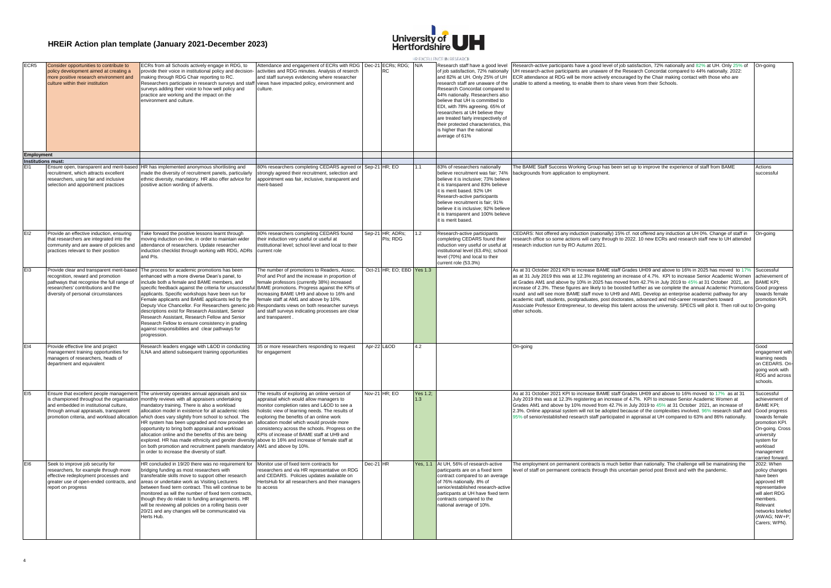

|                 |                                                                                                                                                                                                          |                                                                                                                                                                                                                                                                                                                                                                                                                                                                                                                                                                                                                                                                                                                                                                                                   |                                                                                                                                                                                                                                                                                                                                                                                    |           |                              |     |          | HR EXCELLENCE IN RESEARCE                                                                                                                                                                                                                                                                                                                                                                                                                                    |                                                                                                                                                                                                                                                                                                                                                                                                                                                                                                                                                                                                                                                                                                                                                                                                                                        |                                                                                                                                                                                   |
|-----------------|----------------------------------------------------------------------------------------------------------------------------------------------------------------------------------------------------------|---------------------------------------------------------------------------------------------------------------------------------------------------------------------------------------------------------------------------------------------------------------------------------------------------------------------------------------------------------------------------------------------------------------------------------------------------------------------------------------------------------------------------------------------------------------------------------------------------------------------------------------------------------------------------------------------------------------------------------------------------------------------------------------------------|------------------------------------------------------------------------------------------------------------------------------------------------------------------------------------------------------------------------------------------------------------------------------------------------------------------------------------------------------------------------------------|-----------|------------------------------|-----|----------|--------------------------------------------------------------------------------------------------------------------------------------------------------------------------------------------------------------------------------------------------------------------------------------------------------------------------------------------------------------------------------------------------------------------------------------------------------------|----------------------------------------------------------------------------------------------------------------------------------------------------------------------------------------------------------------------------------------------------------------------------------------------------------------------------------------------------------------------------------------------------------------------------------------------------------------------------------------------------------------------------------------------------------------------------------------------------------------------------------------------------------------------------------------------------------------------------------------------------------------------------------------------------------------------------------------|-----------------------------------------------------------------------------------------------------------------------------------------------------------------------------------|
|                 | FCR5<br>Consider opportunities to contribute to<br>policy development aimed at creating a<br>more positive research environment and<br>culture within their institution                                  | ECRs from all Schools actively engage in RDG, to<br>provide their voice in institutional policy and decision-<br>naking through RDG Chair reporting to RC.<br>Researchers participate in research surveys and staff<br>surveys adding their voice to how well policy and<br>practice are working and the impact on the<br>environment and culture.                                                                                                                                                                                                                                                                                                                                                                                                                                                | Attendance and engagement of ECRs with RDG   Dec-21 ECRs; RDG;<br>activities and RDG minutes. Analysis of reserch<br>and staff surveys evidencing where researcher<br>views have impacted policy, environment and<br>culture.                                                                                                                                                      |           | RC                           | N/A |          | Research staff have a good level<br>of job satisfaction, 72% nationally<br>and 82% at UH. Only 25% of UH<br>research staff are unaware of the<br>Research Concordat compared to<br>44% nationally. Researchers also<br>believe that UH is committed to<br>EDI, with 78% agreeing. 65% of<br>researchers at UH believe they<br>are treated fairly irrespectively of<br>their protected characteristics, this<br>is higher than the national<br>average of 61% | Research-active participants have a good level of job satisfaction, 72% nationally and 82% at UH. Only 25% of<br>UH research-active participants are unaware of the Research Concordat compared to 44% nationally. 2022:<br>ECR attendance at RDG will be more actively encouraged by the Chair making contact with those who are<br>unable to attend a meeting, to enable them to share views from their Schools.                                                                                                                                                                                                                                                                                                                                                                                                                     | On-going                                                                                                                                                                          |
|                 | <b>Employment</b>                                                                                                                                                                                        |                                                                                                                                                                                                                                                                                                                                                                                                                                                                                                                                                                                                                                                                                                                                                                                                   |                                                                                                                                                                                                                                                                                                                                                                                    |           |                              |     |          |                                                                                                                                                                                                                                                                                                                                                                                                                                                              |                                                                                                                                                                                                                                                                                                                                                                                                                                                                                                                                                                                                                                                                                                                                                                                                                                        |                                                                                                                                                                                   |
|                 | <b>Institutions must:</b>                                                                                                                                                                                |                                                                                                                                                                                                                                                                                                                                                                                                                                                                                                                                                                                                                                                                                                                                                                                                   |                                                                                                                                                                                                                                                                                                                                                                                    |           |                              |     |          |                                                                                                                                                                                                                                                                                                                                                                                                                                                              |                                                                                                                                                                                                                                                                                                                                                                                                                                                                                                                                                                                                                                                                                                                                                                                                                                        |                                                                                                                                                                                   |
|                 | Ensure open, transparent and merit-based<br>recruitment, which attracts excellent<br>researchers, using fair and inclusive<br>selection and appointment practices                                        | HR has implemented anonymous shortlisting and<br>made the diversity of recruitment panels, particularly<br>ethnic diversity, mandatory. HR also offer advice for<br>positive action wording of adverts.                                                                                                                                                                                                                                                                                                                                                                                                                                                                                                                                                                                           | 80% researchers completing CEDARS agreed or Sep-21 HR; EO<br>strongly agreed their recruitment, selection and<br>appointment was fair, inclusive, transparent and<br>merit-based                                                                                                                                                                                                   |           |                              |     |          | 83% of researchers nationally<br>believe recruitment was fair; 74%<br>believe it is inclusive; 73% believe<br>it is transparent and 83% believe<br>it is merit based. 92% UH<br>Research-active participants<br>believe recruitment is fair; 91%<br>believe it is inclusive: 92% believe<br>it is transparent and 100% believe<br>it is merit based.                                                                                                         | The BAME Staff Success Working Group has been set up to improve the experience of staff from BAME<br>backgrounds from application to employment.                                                                                                                                                                                                                                                                                                                                                                                                                                                                                                                                                                                                                                                                                       | Actions<br>successful                                                                                                                                                             |
| E12             | Provide an effective induction, ensuring<br>that researchers are integrated into the<br>community and are aware of policies and<br>practices relevant to their position                                  | Take forward the positive lessons learnt through<br>noving induction on-line, in order to maintain wider<br>attendance of researchers. Update researcher<br>induction checklist through working with RDG, ADRs<br>and Pls.                                                                                                                                                                                                                                                                                                                                                                                                                                                                                                                                                                        | 80% researchers completing CEDARS found<br>their induction very useful or useful at<br>institutional level; school level and local to their<br>current role                                                                                                                                                                                                                        |           | Sep-21 HR; ADRs;<br>PIs; RDG | 1.2 |          | Research-active participants<br>completing CEDARS found their<br>induction very useful or useful at<br>institutional level (63.4%); school<br>level (70%) and local to their<br>current role (53.3%)                                                                                                                                                                                                                                                         | CEDARS: Not offered any induction (nationally) 15% cf. not offered any induction at UH 0%. Change of staff in<br>research office so some actions will carry through to 2022. 10 new ECRs and research staff new to UH attended<br>research induction run by RO Autumn 2021.                                                                                                                                                                                                                                                                                                                                                                                                                                                                                                                                                            | On-going                                                                                                                                                                          |
| F <sub>13</sub> | Provide clear and transparent merit-based<br>recognition, reward and promotion<br>pathways that recognise the full range of<br>researchers' contributions and the<br>diversity of personal circumstances | The process for academic promotions has been<br>enhanced with a more diverse Dean's panel, to<br>include both a female and BAME members, and<br>specific feedback against the criteria for unsuccessfu<br>applicants. Specific workshops have been run for<br>Female applicants and BAME applicants led by the<br>Deputy Vice Chancellor. For Researchers generic job Respondants views on both researcher surveys<br>descriptions exist for Research Assistant, Senior<br>Research Assistant, Research Fellow and Senior<br>Research Fellow to ensure consistency in grading<br>against responsibilities and clear pathways for<br>progression.                                                                                                                                                  | The number of promotions to Readers, Assoc.<br>Prof and Prof and the increase in proportion of<br>female professors (currently 38%) increased<br>BAME promotions. Progress against the KPIs of<br>increasing BAME UH9 and above to 16% and<br>female staff at AM1 and above by 10%.<br>and staff surveys indicating processes are clear<br>and transparent                         |           | Oct-21 HR; EO; EBD Yes 1.3   |     |          |                                                                                                                                                                                                                                                                                                                                                                                                                                                              | As at 31 October 2021 KPI to increase BAME staff Grades UH09 and above to 16% in 2025 has moved to 17%<br>as at 31 July 2019 this was at 12.3% registering an increase of 4.7%. KPI to increase Senior Academic Women achievement of<br>at Grades AM1 and above by 10% in 2025 has moved from 42.7% in July 2019 to 45% at 31 October 2021, an<br>increase of 2.3%. These figures are likely to be boosted further as we complete the annual Academic Promotions<br>round and will see more BAME staff move to UH9 and AM1. Develop an enterprise academic pathway for any<br>academic staff, students, postgraduates, post doctorates, advanced and mid-career researchers toward<br>Associate Professor Entrepreneur, to develop this talent across the university. SPECS will pilot it. Then roll out to On-going<br>other schools. | Successful<br><b>BAME KPI:</b><br>Good progress<br>towards female<br>promotion KPI.                                                                                               |
| E14             | Provide effective line and project<br>management training opportunities for<br>managers of researchers, heads of<br>department and equivalent                                                            | Research leaders engage with L&OD in conducting<br>LNA and attend subsequent training opportunities                                                                                                                                                                                                                                                                                                                                                                                                                                                                                                                                                                                                                                                                                               | 35 or more researchers responding to request<br>or engagement                                                                                                                                                                                                                                                                                                                      |           | Apr-22 L&OD                  | 4.2 |          |                                                                                                                                                                                                                                                                                                                                                                                                                                                              | On-going                                                                                                                                                                                                                                                                                                                                                                                                                                                                                                                                                                                                                                                                                                                                                                                                                               | Good<br>engagement with<br>earning needs<br>on CEDARS. On<br>going work with<br>RDG and across<br>schools.                                                                        |
| E <sub>15</sub> | and embedded in institutional culture,<br>through annual appraisals, transparent                                                                                                                         | Ensure that excellent people management The university operates annual appraisals and six<br>is championed throughout the organisation monthly reviews with all appraisers undertaking<br>mandatory training. There is also a workload<br>allocation model in existence for all academic roles<br>promotion criteria, and workload allocation which does vary slightly from school to school. The<br>HR system has been upgraded and now provides an<br>opportunity to bring both appraisal and workload<br>allocation online and the benefits of this are being<br>explored. HR has made ethnicity and gender diversity above to 16% and increase of female staff at<br>on both promotion and recruitment panels mandatory AM1 and above by 10%.<br>in order to increase the diversity of staff. | The results of exploring an online version of<br>appraisal which would allow managers to<br>monitor completion rates and L&OD to see a<br>holistic view of learning needs. The results of<br>exploring the benefits of an online work<br>allocation model which would provide more<br>consistency across the schools. Progress on the<br>KPIs of increase of BAME staff at UH9 and |           | Nov-21 HR; EO                |     | Yes 1.2; |                                                                                                                                                                                                                                                                                                                                                                                                                                                              | As at 31 October 2021 KPI to increase BAME staff Grades UH09 and above to 16% moved to 17% as at 31<br>July 2019 this was at 12.3% registering an increase of 4.7%. KPI to increase Senior Academic Women at<br>Grades AM1 and above by 10% moved from 42.7% in July 2019 to 45% at 31 October 2021, an increase of<br>2.3%. Online appraisal system will not be adopted because of the complexities involved. 96% research staff and Good progress<br>95% of senior/established research staff participated in appraisal at UH compared to 63% and 86% nationally.                                                                                                                                                                                                                                                                    | Successful<br>achievement of<br><b>BAME KPI:</b><br>towards female<br>promotion KPI.<br>On-going. Cross<br>university<br>system for<br>workload<br>management<br>carried forward. |
| FI6             | Seek to improve job security for<br>researchers, for example through more<br>effective redeployment processes and<br>report on progress                                                                  | HR concluded in 19/20 there was no requirement for Monitor use of fixed term contracts for<br>bridging funding as most researchers with<br>transferable skills move to support other research<br>greater use of open-ended contracts, and areas or undertake work as Visiting Lecturers<br>between fixed term contract. This will continue to be<br>nonitored as will the number of fixed term contracts,<br>hough they do relate to funding arrangements. HR<br>will be reviewing all policies on a rolling basis over<br>20/21 and any changes will be communicated via<br>Herts Hub.                                                                                                                                                                                                           | researchers and via HR representative on RDG<br>and CEDARS. Policies updates available on<br>HertsHub for all researchers and their managers<br>to access                                                                                                                                                                                                                          | Dec-21 HR |                              |     |          | Yes, 1.1 At UH, 56% of research-active<br>particpants are on a fixed term<br>contract compared to an average<br>of 76% nationally. 8% of<br>senior/established research-active<br>particpants at UH have fixed term<br>contracts compared to the<br>national average of 10%.                                                                                                                                                                                 | The employment on permanent contracts is much better than nationally. The challenge will be mainatining the<br>level of staff on permanent contracts through this uncertain period post Brexit and with the pandemic.                                                                                                                                                                                                                                                                                                                                                                                                                                                                                                                                                                                                                  | 2022: When<br>policy changes<br>have been<br>approved HR<br>representative<br>will alert RDG<br>members.<br>Relevant<br>networks briefed<br>(AWAG; NW+P;<br>Carers; WPN).         |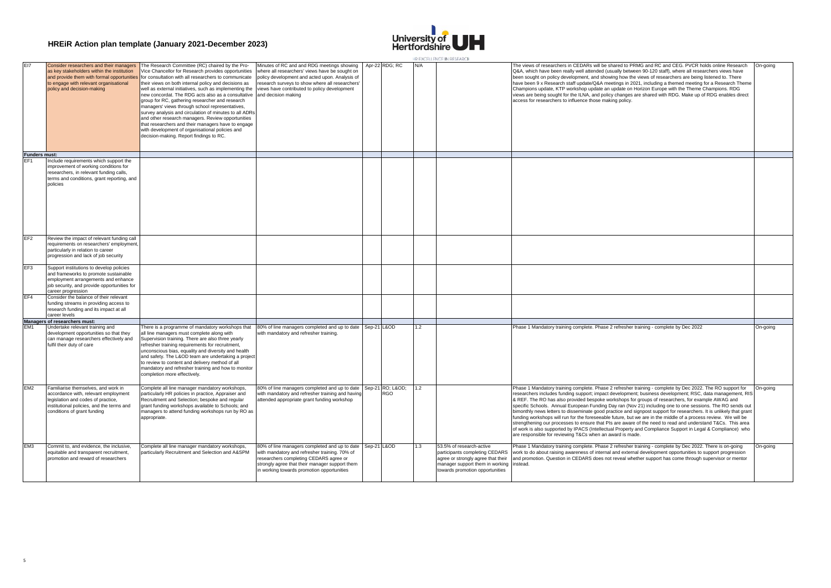

|                      |                                                                                                                                                                                                             |                                                                                                                                                                                                                                                                                                                                                                                                                                                                                                                                                                                                                                                                                                                 |                                                                                                                                                                                                                                                                         |             |                               |     | THE FALL FLUENCE IN RESEARCE                                                                                                                                           |                                                                                                                                                                                                                                                                                                                                                                                                                                                                                                                                                                                                                                                                                                                                                                                                                                                                                                                                                                                 |          |
|----------------------|-------------------------------------------------------------------------------------------------------------------------------------------------------------------------------------------------------------|-----------------------------------------------------------------------------------------------------------------------------------------------------------------------------------------------------------------------------------------------------------------------------------------------------------------------------------------------------------------------------------------------------------------------------------------------------------------------------------------------------------------------------------------------------------------------------------------------------------------------------------------------------------------------------------------------------------------|-------------------------------------------------------------------------------------------------------------------------------------------------------------------------------------------------------------------------------------------------------------------------|-------------|-------------------------------|-----|------------------------------------------------------------------------------------------------------------------------------------------------------------------------|---------------------------------------------------------------------------------------------------------------------------------------------------------------------------------------------------------------------------------------------------------------------------------------------------------------------------------------------------------------------------------------------------------------------------------------------------------------------------------------------------------------------------------------------------------------------------------------------------------------------------------------------------------------------------------------------------------------------------------------------------------------------------------------------------------------------------------------------------------------------------------------------------------------------------------------------------------------------------------|----------|
| E17                  | Consider researchers and their managers<br>as key stakeholders within the institution<br>and provide them with formal opportunities<br>to engage with relevant organisational<br>policy and decision-making | The Research Committee (RC) chaired by the Pro-<br>Vice Chancellor for Research provides opportunities<br>for consultation with all researchers to communicate<br>their views on both internal policy and decisions as<br>well as external initiatives, such as implementing the<br>new concordat. The RDG acts also as a consultative<br>group for RC, gathering researcher and research<br>managers' views through school representatives,<br>survey analysis and circulation of minutes to all ADRs<br>and other research managers. Review opportunities<br>that researchers and their managers have to engage<br>with development of organisational policies and<br>decision-making. Report findings to RC. | Minutes of RC and and RDG meetings showing<br>where all researchers' views have be sought on<br>policy development and acted upon. Analysis of<br>research surveys to show where all researchers<br>views have contributed to policy development<br>and decision making |             | Apr-22 RDG; RC                | N/A |                                                                                                                                                                        | The views of researchers in CEDARs will be shared to PRMG and RC and CEG. PVCR holds online Research<br>Q&A, which have been really well attended (usually between 90-120 staff), where all researchers views have<br>been sought on policy development, and showing how the views of researchers are being listened to. There<br>have been 9 x Research staff update/Q&A meetings in 2021, including a themed meeting for a Research Theme<br>Champions update, KTP workshop update an update on Horizon Europe with the Theme Champions. RDG<br>views are being sought for the ILNA, and policy changes are shared with RDG. Make up of RDG enables direct<br>access for researchers to influence those making policy.                                                                                                                                                                                                                                                        | On-going |
| <b>Funders must:</b> |                                                                                                                                                                                                             |                                                                                                                                                                                                                                                                                                                                                                                                                                                                                                                                                                                                                                                                                                                 |                                                                                                                                                                                                                                                                         |             |                               |     |                                                                                                                                                                        |                                                                                                                                                                                                                                                                                                                                                                                                                                                                                                                                                                                                                                                                                                                                                                                                                                                                                                                                                                                 |          |
| FF <sub>1</sub>      | Include requirements which support the<br>improvement of working conditions for<br>researchers, in relevant funding calls,<br>terms and conditions, grant reporting, and<br>policies                        |                                                                                                                                                                                                                                                                                                                                                                                                                                                                                                                                                                                                                                                                                                                 |                                                                                                                                                                                                                                                                         |             |                               |     |                                                                                                                                                                        |                                                                                                                                                                                                                                                                                                                                                                                                                                                                                                                                                                                                                                                                                                                                                                                                                                                                                                                                                                                 |          |
| EF <sub>2</sub>      | Review the impact of relevant funding call<br>requirements on researchers' employmen<br>particularly in relation to career<br>progression and lack of job security                                          |                                                                                                                                                                                                                                                                                                                                                                                                                                                                                                                                                                                                                                                                                                                 |                                                                                                                                                                                                                                                                         |             |                               |     |                                                                                                                                                                        |                                                                                                                                                                                                                                                                                                                                                                                                                                                                                                                                                                                                                                                                                                                                                                                                                                                                                                                                                                                 |          |
| EF3                  | Support institutions to develop policies<br>and frameworks to promote sustainable<br>employment arrangements and enhance<br>job security, and provide opportunities for<br>career progression               |                                                                                                                                                                                                                                                                                                                                                                                                                                                                                                                                                                                                                                                                                                                 |                                                                                                                                                                                                                                                                         |             |                               |     |                                                                                                                                                                        |                                                                                                                                                                                                                                                                                                                                                                                                                                                                                                                                                                                                                                                                                                                                                                                                                                                                                                                                                                                 |          |
| FF4                  | Consider the balance of their relevant<br>funding streams in providing access to<br>research funding and its impact at all<br>career levels                                                                 |                                                                                                                                                                                                                                                                                                                                                                                                                                                                                                                                                                                                                                                                                                                 |                                                                                                                                                                                                                                                                         |             |                               |     |                                                                                                                                                                        |                                                                                                                                                                                                                                                                                                                                                                                                                                                                                                                                                                                                                                                                                                                                                                                                                                                                                                                                                                                 |          |
|                      | Managers of researchers must:                                                                                                                                                                               |                                                                                                                                                                                                                                                                                                                                                                                                                                                                                                                                                                                                                                                                                                                 |                                                                                                                                                                                                                                                                         |             |                               |     |                                                                                                                                                                        |                                                                                                                                                                                                                                                                                                                                                                                                                                                                                                                                                                                                                                                                                                                                                                                                                                                                                                                                                                                 |          |
| EM <sub>1</sub>      | Undertake relevant training and<br>development opportunities so that they<br>can manage researchers effectively and<br>fulfil their duty of care                                                            | There is a programme of mandatory workshops that<br>all line managers must complete along with<br>Supervision training. There are also three yearly<br>refresher training requirements for recruitment,<br>unconscious bias, equality and diversity and health<br>and safety. The L&OD team are undertaking a project<br>to review to content and delivery method of all<br>mandatory and refresher training and how to monitor<br>completion more effectively.                                                                                                                                                                                                                                                 | 80% of line managers completed and up to date<br>with mandatory and refresher training.                                                                                                                                                                                 | Sep-21 L&OD |                               | 1.2 |                                                                                                                                                                        | Phase 1 Mandatory training complete. Phase 2 refresher training - complete by Dec 2022                                                                                                                                                                                                                                                                                                                                                                                                                                                                                                                                                                                                                                                                                                                                                                                                                                                                                          | On-going |
| EM2                  | Familiarise themselves, and work in<br>accordance with, relevant employment<br>legislation and codes of practice,<br>institutional policies, and the terms and<br>conditions of grant funding               | Complete all line manager mandatory workshops,<br>particularly HR policies in practice, Appraiser and<br>Recruitment and Selection; bespoke and regular<br>grant funding workshops available to Schools; and<br>managers to attend funding workshops run by RO as<br>appropriate.                                                                                                                                                                                                                                                                                                                                                                                                                               | 80% of line managers completed and up to date<br>with mandatory and refresher training and having<br>attended appropriate grant funding workshop                                                                                                                        |             | Sep-21 RO; L&OD<br><b>RGO</b> | 1.2 |                                                                                                                                                                        | Phase 1 Mandatory training complete. Phase 2 refresher training - complete by Dec 2022. The RO support for<br>researchers includes funding support; impact development; business development; RSC, data management, RIS<br>& REF. The RO has also provided bespoke workshops for groups of researchers, for example AWAG and<br>specific Schools. Annual European Funding Day ran (Nov 21) including one to one sessions. The RO sends out<br>bimonthly news letters to disseminate good practice and signpost support for researchers. It is unlikely that grant<br>funding workshops will run for the foreseeable future, but we are in the middle of a process review. We will be<br>strengthening our processes to ensure that PIs are aware of the need to read and understand T&Cs. This area<br>of work is also supported by IPACS (Intellectual Property and Compliance Support in Legal & Compliance) who<br>are responsible for reviewing T&Cs when an award is made. | On-going |
| EM <sub>3</sub>      | Commit to, and evidence, the inclusive.<br>equitable and transparent recruitment,<br>promotion and reward of researchers                                                                                    | Complete all line manager mandatory workshops.<br>particularly Recruitment and Selection and A&SPM                                                                                                                                                                                                                                                                                                                                                                                                                                                                                                                                                                                                              | 80% of line managers completed and up to date<br>with mandatory and refresher training. 70% of<br>researchers completing CEDARS agree or<br>strongly agree that their manager support them<br>in working towards promotion opportunities                                | Sep-21 L&OD |                               | 13  | 53.5% of research-active<br>participants completing CEDARS<br>agree or strongly agree that their<br>manager support them in working<br>towards promotion opportunities | Phase 1 Mandatory training complete. Phase 2 refresher training - complete by Dec 2022. There is on-going<br>work to do about raising awareness of internal and external development opportunities to support progression<br>and promotion. Question in CEDARS does not reveal whether support has come through supervisor or mentor<br>instead.                                                                                                                                                                                                                                                                                                                                                                                                                                                                                                                                                                                                                                | On-going |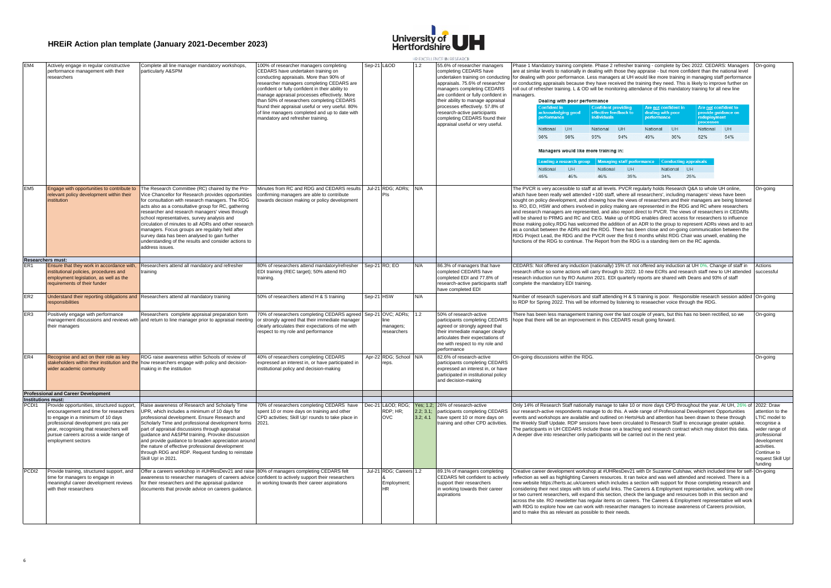

|                   |                                                                                                                                                                                                                                                                              |                                                                                                                                                                                                                                                                                                                                                                                                                                                                                                                                                             |                                                                                                                                                                                                                                                                                                                                                                                                                                                                  |            |                                              |                                   | HR FACTILENCE IN RESEARCE                                                                                                                                                                                                                                                                                                                                                        |                                                                                                                                                                                                                                                                                                                                                                                                                                                                                                                                                                                                                                                                                                                                                                                                                                                                                                                                                                                                                                                                                                                       |                                                                                                                                                                |
|-------------------|------------------------------------------------------------------------------------------------------------------------------------------------------------------------------------------------------------------------------------------------------------------------------|-------------------------------------------------------------------------------------------------------------------------------------------------------------------------------------------------------------------------------------------------------------------------------------------------------------------------------------------------------------------------------------------------------------------------------------------------------------------------------------------------------------------------------------------------------------|------------------------------------------------------------------------------------------------------------------------------------------------------------------------------------------------------------------------------------------------------------------------------------------------------------------------------------------------------------------------------------------------------------------------------------------------------------------|------------|----------------------------------------------|-----------------------------------|----------------------------------------------------------------------------------------------------------------------------------------------------------------------------------------------------------------------------------------------------------------------------------------------------------------------------------------------------------------------------------|-----------------------------------------------------------------------------------------------------------------------------------------------------------------------------------------------------------------------------------------------------------------------------------------------------------------------------------------------------------------------------------------------------------------------------------------------------------------------------------------------------------------------------------------------------------------------------------------------------------------------------------------------------------------------------------------------------------------------------------------------------------------------------------------------------------------------------------------------------------------------------------------------------------------------------------------------------------------------------------------------------------------------------------------------------------------------------------------------------------------------|----------------------------------------------------------------------------------------------------------------------------------------------------------------|
|                   | Actively engage in regular constructive<br>performance management with their<br>researchers                                                                                                                                                                                  | Complete all line manager mandatory workshops,<br>particularly A&SPM                                                                                                                                                                                                                                                                                                                                                                                                                                                                                        | 100% of researcher managers completing<br>CEDARS have undertaken training on<br>conducting appraisals. More than 90% of<br>researcher managers completing CEDARS are<br>confident or fully confident in their ability to<br>manage appraisal processes effectively. More<br>than 50% of researchers completing CEDARS<br>found their appraisal useful or very useful. 80%<br>of line managers completed and up to date with<br>mandatory and refresher training. |            | Sep-21 L&OD                                  |                                   | 55.6% of researcher managers<br>completing CEDARS have<br>undertaken training on conducting<br>appraisals. 75.6% of researcher<br>managers completing CEDARS<br>are confident or fully confident in<br>their ability to manage appraisal<br>processes effectively. 57.8% of<br>research-active participants<br>completing CEDARS found their<br>appraisal useful or very useful. | Phase 1 Mandatory training complete. Phase 2 refresher training - complete by Dec 2022. CEDARS: Managers<br>are at similar levels to nationally in dealing with those they appraise - but more confident than the national level<br>for dealing with poor performance. Less managers at UH would like more training in managing staff performance<br>or conducting appraisals because they have received the training they need. This is likely to improve further on<br>roll out of refresher training. L & OD will be monitoring attendance of this mandatory training for all new line<br>managers.<br>Dealing with poor performance<br>Are not confident in<br>Are not confident to<br><b>Confident providing</b><br>effective feedback to<br>provide guidance on<br>acknowledging good<br>dealing with poor<br>performance<br>performance<br><b>individuals</b><br>redeployment<br>nrocossos<br>National<br>UH<br>National<br>UH<br>National<br><b>UH</b><br>National<br>UH<br>98%<br>94%<br>54%<br>95%<br>49%<br>36%<br>52%                                                                                     | On-going                                                                                                                                                       |
|                   |                                                                                                                                                                                                                                                                              |                                                                                                                                                                                                                                                                                                                                                                                                                                                                                                                                                             |                                                                                                                                                                                                                                                                                                                                                                                                                                                                  |            |                                              |                                   |                                                                                                                                                                                                                                                                                                                                                                                  |                                                                                                                                                                                                                                                                                                                                                                                                                                                                                                                                                                                                                                                                                                                                                                                                                                                                                                                                                                                                                                                                                                                       |                                                                                                                                                                |
|                   |                                                                                                                                                                                                                                                                              |                                                                                                                                                                                                                                                                                                                                                                                                                                                                                                                                                             |                                                                                                                                                                                                                                                                                                                                                                                                                                                                  |            |                                              |                                   |                                                                                                                                                                                                                                                                                                                                                                                  | Managers would like more training in:                                                                                                                                                                                                                                                                                                                                                                                                                                                                                                                                                                                                                                                                                                                                                                                                                                                                                                                                                                                                                                                                                 |                                                                                                                                                                |
|                   |                                                                                                                                                                                                                                                                              |                                                                                                                                                                                                                                                                                                                                                                                                                                                                                                                                                             |                                                                                                                                                                                                                                                                                                                                                                                                                                                                  |            |                                              |                                   |                                                                                                                                                                                                                                                                                                                                                                                  | eading a research group   Managing staff performance   Conducting appraisals<br>National<br>UH<br>National<br>UH<br>National UH                                                                                                                                                                                                                                                                                                                                                                                                                                                                                                                                                                                                                                                                                                                                                                                                                                                                                                                                                                                       |                                                                                                                                                                |
|                   |                                                                                                                                                                                                                                                                              |                                                                                                                                                                                                                                                                                                                                                                                                                                                                                                                                                             |                                                                                                                                                                                                                                                                                                                                                                                                                                                                  |            |                                              |                                   |                                                                                                                                                                                                                                                                                                                                                                                  | 46%<br>45%<br>46%<br>35%<br>34%<br>25%                                                                                                                                                                                                                                                                                                                                                                                                                                                                                                                                                                                                                                                                                                                                                                                                                                                                                                                                                                                                                                                                                |                                                                                                                                                                |
| EM <sub>5</sub>   | Engage with opportunities to contribute to<br>elevant policy development within their<br>institution                                                                                                                                                                         | The Research Committee (RC) chaired by the Pro-<br>Vice Chancellor for Research provides opportunities<br>for consultation with research managers. The RDG<br>acts also as a consultative group for RC, gathering<br>researcher and research managers' views through<br>school representatives, survey analysis and<br>circulation of minutes to all ADRs and other research<br>managers. Focus groups are regulalry held after<br>survey data has been analysed to gain further<br>understanding of the results and consider actions to<br>address issues. | Minutes from RC and RDG and CEDARS results<br>confirming managers are able to contribute<br>owards decision making or policy development                                                                                                                                                                                                                                                                                                                         |            | Jul-21 RDG; ADRs;<br>Pls                     | N/A                               |                                                                                                                                                                                                                                                                                                                                                                                  | The PVCR is very accessible to staff at all levels. PVCR regularly holds Research Q&A to whole UH online,<br>which have been really well attended +100 staff, where all researchers', including managers' views have been<br>sought on policy development, and showing how the views of researchers and their managers are being listened<br>to. RO, EO, HSW and others involved in policy making are represented in the RDG and RC where researchers<br>and research managers are represented, and also report direct to PVCR. The views of researchers in CEDARs<br>will be shared to PRMG and RC and CEG. Make up of RDG enables direct access for researchers to influence<br>those making policy.RDG has welcomed the addition of an ADR to the group to represent ADRs views and to act<br>as a conduit between the ADRs and the RDG. There has been close and on-going communication between the<br>RDG Project Lead, the RDG and the PVCR over the first 6 months whilst RDG Chair was unwell, enabling the<br>functions of the RDG to continue. The Report from the RDG is a standing item on the RC agenda. | On-going                                                                                                                                                       |
| ER <sub>1</sub>   | Researchers must:<br>Ensure that they work in accordance with.                                                                                                                                                                                                               | Researchers attend all mandatory and refresher                                                                                                                                                                                                                                                                                                                                                                                                                                                                                                              | 80% of researchers attend mandatory/refresher                                                                                                                                                                                                                                                                                                                                                                                                                    |            | Sep-21 RO; EO                                | N/A                               | 86.3% of managers that have                                                                                                                                                                                                                                                                                                                                                      | CEDARS: Not offered any induction (nationally) 15% cf. not offered any induction at UH 0%. Change of staff in                                                                                                                                                                                                                                                                                                                                                                                                                                                                                                                                                                                                                                                                                                                                                                                                                                                                                                                                                                                                         | Actions                                                                                                                                                        |
|                   | institutional policies, procedures and<br>employment legislation, as well as the<br>requirements of their funder                                                                                                                                                             | training                                                                                                                                                                                                                                                                                                                                                                                                                                                                                                                                                    | EDI training (REC target); 50% attend RO<br>training.                                                                                                                                                                                                                                                                                                                                                                                                            |            |                                              |                                   | completed CEDARS have<br>completed EDI and 77.8% of<br>esearch-active participants staff<br>have completed EDI                                                                                                                                                                                                                                                                   | esearch office so some actions will carry through to 2022. 10 new ECRs and research staff new to UH attended<br>research induction run by RO Autumn 2021. EDI quarterly reports are shared with Deans and 93% of staff<br>complete the mandatory EDI training.                                                                                                                                                                                                                                                                                                                                                                                                                                                                                                                                                                                                                                                                                                                                                                                                                                                        | successful                                                                                                                                                     |
| ER <sub>2</sub>   | esponsibilities                                                                                                                                                                                                                                                              | Understand their reporting obligations and Researchers attend all mandatory training                                                                                                                                                                                                                                                                                                                                                                                                                                                                        | 50% of researchers attend H & S training                                                                                                                                                                                                                                                                                                                                                                                                                         | Sep-21 HSW |                                              | N/A                               |                                                                                                                                                                                                                                                                                                                                                                                  | Number of research supervisors and staff attending H & S training is poor. Responsible research session added<br>to RDP for Spring 2022. This will be informed by listening to reseaecher voice through the RDG.                                                                                                                                                                                                                                                                                                                                                                                                                                                                                                                                                                                                                                                                                                                                                                                                                                                                                                      | On-going                                                                                                                                                       |
| ER <sub>3</sub>   | Positively engage with performance<br>their managers                                                                                                                                                                                                                         | Researchers complete appraisal preparation form<br>management discussions and reviews with and return to line manager prior to appraisal meeting                                                                                                                                                                                                                                                                                                                                                                                                            | 70% of researchers completing CEDARS agreed Sep-21 OVC; ADRs;<br>or strongly agreed that their immediate manager<br>clearly articulates their expectations of me with<br>respect to my role and performance                                                                                                                                                                                                                                                      |            | managers:<br>researchers                     | 1.2                               | 50% of research-active<br>participants completing CEDARS<br>agreed or strongly agreed that<br>their immediate manager clearly<br>articulates their expectations of<br>me with respect to my role and<br>performance                                                                                                                                                              | There has been less management training over the last couple of years, but this has no been rectified, so we<br>hope that there will be an improvement in this CEDARS result going forward.                                                                                                                                                                                                                                                                                                                                                                                                                                                                                                                                                                                                                                                                                                                                                                                                                                                                                                                           | On-going                                                                                                                                                       |
| ER4               | Recognise and act on their role as key<br>wider academic community                                                                                                                                                                                                           | RDG raise awareness within Schools of review of<br>stakeholders within their institution and the how researchers engage with policy and decision-<br>making in the institution                                                                                                                                                                                                                                                                                                                                                                              | 40% of researchers completing CEDARS<br>expressed an interest in, or have participated in<br>institutional policy and decision-making                                                                                                                                                                                                                                                                                                                            |            | Apr-22 RDG; School N/A<br>reps.              |                                   | 82.6% of research-active<br>participants completing CEDARS<br>expressed an interest in, or have<br>participated in institutional policy<br>and decision-making                                                                                                                                                                                                                   | On-going discussions within the RDG.                                                                                                                                                                                                                                                                                                                                                                                                                                                                                                                                                                                                                                                                                                                                                                                                                                                                                                                                                                                                                                                                                  | On-going                                                                                                                                                       |
|                   | <b>Professional and Career Development</b><br><b>Institutions must:</b>                                                                                                                                                                                                      |                                                                                                                                                                                                                                                                                                                                                                                                                                                                                                                                                             |                                                                                                                                                                                                                                                                                                                                                                                                                                                                  |            |                                              |                                   |                                                                                                                                                                                                                                                                                                                                                                                  |                                                                                                                                                                                                                                                                                                                                                                                                                                                                                                                                                                                                                                                                                                                                                                                                                                                                                                                                                                                                                                                                                                                       |                                                                                                                                                                |
| PCD <sub>11</sub> | Provide opportunities, structured support,<br>encouragement and time for researchers<br>to engage in a minimum of 10 days<br>professional development pro rata per<br>year, recognising that researchers will<br>pursue careers across a wide range of<br>employment sectors | Raise awareness of Research and Scholarly Time<br>UPR, which includes a minimum of 10 days for<br>professional development. Ensure Research and<br>Scholarly Time and professional development forms<br>part of appraisal discussions through appraisal<br>quidance and A&SPM training. Provoke discussion<br>and provide quidance to broaden appreciation around<br>the nature of effective professional development<br>through RDG and RDP. Request funding to reinstate<br>Skill Up! in 2021.                                                            | 70% of researchers completing CEDARS have<br>spent 10 or more days on training and other<br>CPD activities: Skill Up! rounds to take place in<br>2021.                                                                                                                                                                                                                                                                                                           | Dec-21     | L&OD RDG;<br>RDP; HR;<br>OVC.                | Yes: 1.2:<br>2.2; 3.1;<br>3.2:4.1 | 26% of research-active<br>participants completing CEDARS<br>have spent 10 or more days on<br>raining and other CPD activities.                                                                                                                                                                                                                                                   | Only 14% of Research Staff nationally manage to take 10 or more days CPD throughout the year. At UH, 26% of 2022: Draw<br>our research-active respondents manage to do this. A wide range of Professional Development Opportunities<br>events and workshops are available and outlined on HertsHub and attention has been drawn to these through<br>the Weekly Staff Update. RDP sessions have been circulated to Research Staff to encourage greater uptake.<br>The participants in UH CEDARS include those on a teaching and research contract which may distort this data.<br>A deeper dive into researcher only participants will be carried out in the next year.                                                                                                                                                                                                                                                                                                                                                                                                                                                | attention to the<br>LTIC model to<br>ecognise a<br>wider range of<br>professional<br>development<br>activities.<br>Continue to<br>request Skill Up!<br>funding |
| PCD <sub>12</sub> | Provide training, structured support, and<br>time for managers to engage in<br>meaningful career development reviews<br>with their researchers                                                                                                                               | Offer a careers workshop in #UHResDev21 and raise 80% of managers completing CEDARS felt<br>awareness to researcher managers of careers advice confident to actively support their researchers<br>for their researchers and the appraisal guidance<br>documents that provide advice on careers guidance.                                                                                                                                                                                                                                                    | n working towards their career aspirations                                                                                                                                                                                                                                                                                                                                                                                                                       |            | Jul-21 RDG; Careers 1.2<br>Employment;<br>НR |                                   | 89.1% of managers completing<br>CEDARS felt confident to actively<br>support their researchers<br>in working towards their career<br>aspirations                                                                                                                                                                                                                                 | Creative career development workshop at #UHResDev21 with Dr Suzanne Culshaw, which included time for self-<br>reflection as well as highlighting Careers resources. It ran twice and was well attended and received. There is a<br>new website https://herts.ac.uk/careers which includes a section with support for those completing research and<br>considering their next steps with lots of useful links. The Careers & Employment representative, working with one<br>or two current researchers, will expand this section, check the language and resources both in this section and<br>across the site. RO newsletter has regular items on careers. The Careers & Employment representative will work<br>with RDG to explore how we can work with researcher managers to increase awareness of Careers provision,<br>and to make this as relevant as possible to their needs.                                                                                                                                                                                                                                  | On-going                                                                                                                                                       |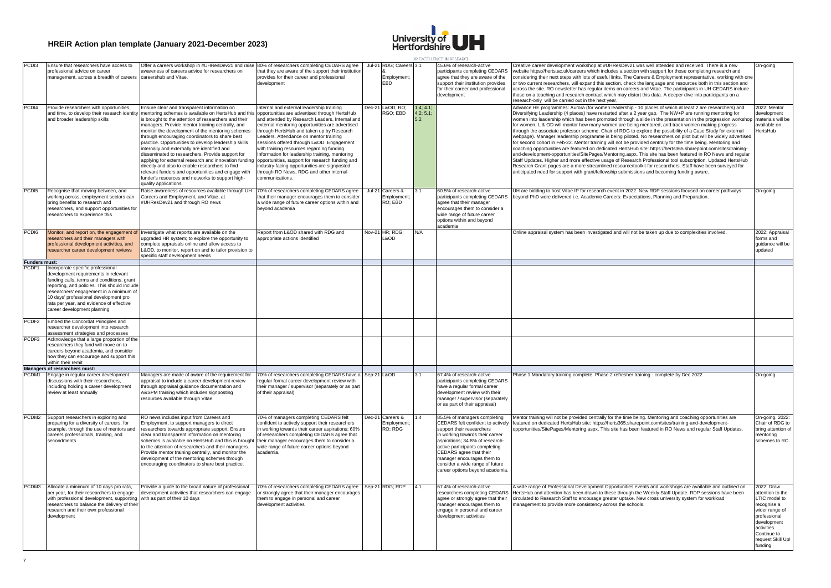

|                                        |                                                                                                                                                                                                                                                                                                                                        |                                                                                                                                                                                                                                                                                                                                                                                                                                                                                                                                                                                                                                                                                                                                 |                                                                                                                                                                                                                                                                                                                                                                                                                                                                                                     |          |                                                                   |                | HREALTHEN FINIRICAR I                                                                                                                                                                                                                                                                                                                 |                                                                                                                                                                                                                                                                                                                                                                                                                                                                                                                                                                                                                                                                                                                                                                                                                                                                                                                                                                                                                                                                                                                                                                                                                                              |                                                                                                                                                                               |
|----------------------------------------|----------------------------------------------------------------------------------------------------------------------------------------------------------------------------------------------------------------------------------------------------------------------------------------------------------------------------------------|---------------------------------------------------------------------------------------------------------------------------------------------------------------------------------------------------------------------------------------------------------------------------------------------------------------------------------------------------------------------------------------------------------------------------------------------------------------------------------------------------------------------------------------------------------------------------------------------------------------------------------------------------------------------------------------------------------------------------------|-----------------------------------------------------------------------------------------------------------------------------------------------------------------------------------------------------------------------------------------------------------------------------------------------------------------------------------------------------------------------------------------------------------------------------------------------------------------------------------------------------|----------|-------------------------------------------------------------------|----------------|---------------------------------------------------------------------------------------------------------------------------------------------------------------------------------------------------------------------------------------------------------------------------------------------------------------------------------------|----------------------------------------------------------------------------------------------------------------------------------------------------------------------------------------------------------------------------------------------------------------------------------------------------------------------------------------------------------------------------------------------------------------------------------------------------------------------------------------------------------------------------------------------------------------------------------------------------------------------------------------------------------------------------------------------------------------------------------------------------------------------------------------------------------------------------------------------------------------------------------------------------------------------------------------------------------------------------------------------------------------------------------------------------------------------------------------------------------------------------------------------------------------------------------------------------------------------------------------------|-------------------------------------------------------------------------------------------------------------------------------------------------------------------------------|
| PCD <sub>13</sub><br>PCD <sub>14</sub> | Ensure that researchers have access to<br>professional advice on career<br>nanagement, across a breadth of careers careershub and Vitae<br>Provide researchers with opportunities,                                                                                                                                                     | Offer a careers workshop in #UHResDev21 and raise 80% of researchers completing CEDARS agree<br>awareness of careers advice for researchers on<br>Ensure clear and transparent information on                                                                                                                                                                                                                                                                                                                                                                                                                                                                                                                                   | that they are aware of the support their institution<br>provides for their career and professional<br>development<br>Internal and external leadership training                                                                                                                                                                                                                                                                                                                                      |          | Jul-21 RDG; Careers 3.1<br>Employment;<br>EBD<br>Dec-21 L&OD: RO: | 1.4; 4.1       | 45.6% of research-active<br>participants completing CEDARS<br>agree that they are aware of the<br>support their institution provides<br>for their career and professional<br>development                                                                                                                                              | Creative career development workshop at #UHResDev21 was well attended and received. There is a new<br>website https://herts.ac.uk/careers which includes a section with support for those completing research and<br>considering their next steps with lots of useful links. The Careers & Employment representative, working with one<br>or two current researchers, will expand this section, check the language and resources both in this section and<br>across the site. RO newsletter has regular items on careers and Vitae. The participants in UH CEDARS include<br>those on a teaching and research contract which may distort this data. A deeper dive into participants on a<br>research-only will be carried out in the next year.<br>Advance HE programmes: Aurora (for women leadership - 10 places of which at least 2 are researchers) and                                                                                                                                                                                                                                                                                                                                                                                  | On-going<br>2022: Mentor                                                                                                                                                      |
|                                        | and time, to develop their research identity<br>and broader leadership skills                                                                                                                                                                                                                                                          | mentoring schemes is available on HertsHub and this<br>is brought to the attention of researchers and their<br>managers. Provide mentor training centrally, and<br>monitor the development of the mentoring schemes<br>hrough encouraging coordinators to share best<br>practice. Opportunities to develop leadership skills<br>internally and externally are identified and<br>disseminated to researchers. Provide support for<br>applying for external research and innovation funding opportunities, support for research funding and<br>directly and also to enable researchers to find<br>relevant funders and opportunities and engage with<br>funder's resources and networks to support high-<br>quality applications. | opportunities are advertised through HertsHub<br>and attended by Research Leaders. Internal and<br>external mentoring opportunities are advertised<br>through HertsHub and taken up by Research<br>eaders. Attendance on mentor training<br>sessions offered through L&OD. Engagement<br>with training resources regarding funding.<br>Information for leadership training, mentoring<br>industry-facing opportunities are signposted<br>through RO News, RDG and other internal<br>communications. |          | RGO; EBD                                                          | 4.2; 5.1<br>52 |                                                                                                                                                                                                                                                                                                                                       | Diversifying Leadership (4 places) have restarted after a 2 year gap. The NW+P are running mentoring for<br>women into leadership which has been promoted through a slide in the presentation in the progression workshop<br>for women. L & OD will montor how many women are being mentored, and track women making progress<br>through the associate professor scheme. Chair of RDG to explore the possibility of a Case Study for external<br>webpage). Manager leadership programme is being piloted. No researchers on pilot but will be widely advertised<br>for second cohort in Feb-22. Mentor training will not be provided centrally for the time being. Mentoring and<br>coaching opportunities are featured on dedicated HertsHub site: https://herts365.sharepoint.com/sites/training-<br>and-development-opportunities/SitePages/Mentoring.aspx. This site has been featured in RO News and regular<br>Staff Updates. Higher and more effective usage of Research Professional tool subscription. Updated HertsHub<br>Research Grant pages are a more streamlined resource/toolkit for researchers. Staff have been surveyed for<br>anticipated need for support with grant/fellowship submissions and becoming funding aware. | levelopment<br>naterials will be<br>available on<br><b>dertsHub</b>                                                                                                           |
| PCD <sub>15</sub>                      | Recognise that moving between, and<br>working across, employment sectors can<br>bring benefits to research and<br>researchers, and support opportunities for<br>researchers to experience this                                                                                                                                         | Raise awareness of resources available through UH<br>Careers and Employment, and Vitae, at<br>#UHResDev21 and through RO news                                                                                                                                                                                                                                                                                                                                                                                                                                                                                                                                                                                                   | 70% of researchers completing CEDARS agree<br>that their manager encourages them to consider<br>a wide range of future career options within and<br>beyond academia                                                                                                                                                                                                                                                                                                                                 | $Jul-21$ | Careers &<br>Employment;<br>RO: EBD                               |                | 60.5% of research-active<br>participants completing CEDARS<br>agree that their manager<br>encourages them to consider a<br>wide range of future career<br>options within and beyond<br>academia                                                                                                                                       | UH are bidding to host Vitae IP for research event in 2022. New RDP sessions focused on career pathways<br>beyond PhD were delivered i.e. Academic Careers: Expectations, Planning and Preparation.                                                                                                                                                                                                                                                                                                                                                                                                                                                                                                                                                                                                                                                                                                                                                                                                                                                                                                                                                                                                                                          | On-going                                                                                                                                                                      |
| PCD <sub>16</sub><br>Funders must:     | Monitor, and report on, the engagement of<br>esearchers and their managers with<br>professional development activities, and<br>researcher career development reviews                                                                                                                                                                   | Investigate what reports are available on the<br>pgraded HR system; to explore the opportunity to<br>omplete appraisals online and allow access to<br>L&OD, to monitor, report on and to tailor provision to<br>specific staff development needs                                                                                                                                                                                                                                                                                                                                                                                                                                                                                | Report from L&OD shared with RDG and<br>appropriate actions identified                                                                                                                                                                                                                                                                                                                                                                                                                              |          | Nov-21 HR; RDG;<br>L&OD                                           | N/A            |                                                                                                                                                                                                                                                                                                                                       | Online appraisal system has been investigated and will not be taken up due to complexities involved.                                                                                                                                                                                                                                                                                                                                                                                                                                                                                                                                                                                                                                                                                                                                                                                                                                                                                                                                                                                                                                                                                                                                         | 2022: Appraisal<br>forms and<br>guidance will be<br>updated                                                                                                                   |
| <b>CDF1</b>                            | Incorporate specific professional<br>development requirements in relevant<br>funding calls, terms and conditions, grant<br>reporting, and policies. This should include<br>researchers' engagement in a minimum of<br>10 days' professional development pro<br>rata per year, and evidence of effective<br>career development planning |                                                                                                                                                                                                                                                                                                                                                                                                                                                                                                                                                                                                                                                                                                                                 |                                                                                                                                                                                                                                                                                                                                                                                                                                                                                                     |          |                                                                   |                |                                                                                                                                                                                                                                                                                                                                       |                                                                                                                                                                                                                                                                                                                                                                                                                                                                                                                                                                                                                                                                                                                                                                                                                                                                                                                                                                                                                                                                                                                                                                                                                                              |                                                                                                                                                                               |
| PCDF2                                  | Embed the Concordat Principles and<br>researcher development into research                                                                                                                                                                                                                                                             |                                                                                                                                                                                                                                                                                                                                                                                                                                                                                                                                                                                                                                                                                                                                 |                                                                                                                                                                                                                                                                                                                                                                                                                                                                                                     |          |                                                                   |                |                                                                                                                                                                                                                                                                                                                                       |                                                                                                                                                                                                                                                                                                                                                                                                                                                                                                                                                                                                                                                                                                                                                                                                                                                                                                                                                                                                                                                                                                                                                                                                                                              |                                                                                                                                                                               |
| PCDF3                                  | ssessment strategies and processes<br>Acknowledge that a large proportion of the<br>researchers they fund will move on to<br>careers beyond academia, and consider<br>how they can encourage and support this<br>within their remit<br>Managers of researchers must:                                                                   |                                                                                                                                                                                                                                                                                                                                                                                                                                                                                                                                                                                                                                                                                                                                 |                                                                                                                                                                                                                                                                                                                                                                                                                                                                                                     |          |                                                                   |                |                                                                                                                                                                                                                                                                                                                                       |                                                                                                                                                                                                                                                                                                                                                                                                                                                                                                                                                                                                                                                                                                                                                                                                                                                                                                                                                                                                                                                                                                                                                                                                                                              |                                                                                                                                                                               |
| PCDM1                                  | Engage in regular career development<br>discussions with their researchers,<br>including holding a career development<br>review at least annually                                                                                                                                                                                      | Managers are made of aware of the requirement for<br>appraisal to include a career development review<br>through appraisal guidance documentation and<br>A&SPM training which includes signposting<br>resources available through Vitae.                                                                                                                                                                                                                                                                                                                                                                                                                                                                                        | 70% of researchers completing CEDARS have a<br>regular formal career development review with<br>their manager / supervisor (separately or as part<br>of their appraisal)                                                                                                                                                                                                                                                                                                                            |          | Sep-21 L&OD                                                       | 3.1            | 67.4% of research-active<br>participants completing CEDARS<br>have a regular formal career<br>development review with their<br>manager / supervisor (separately<br>or as part of their appraisal)                                                                                                                                     | Phase 1 Mandatory training complete. Phase 2 refresher training - complete by Dec 2022                                                                                                                                                                                                                                                                                                                                                                                                                                                                                                                                                                                                                                                                                                                                                                                                                                                                                                                                                                                                                                                                                                                                                       | On-going                                                                                                                                                                      |
| PCDM2                                  | Support researchers in exploring and<br>preparing for a diversity of careers, for<br>example, through the use of mentors and<br>careers professionals, training, and<br>secondments                                                                                                                                                    | RO news includes input from Careers and<br>Employment, to support managers to direct<br>researchers towards appropriate support. Ensure<br>clear and transparent information on mentoring<br>schemes is available on HertsHub and this is brought<br>to the attention of researchers and their managers.<br>Provide mentor training centrally, and monitor the<br>development of the mentoring schemes through<br>encouraging coordinators to share best practice.                                                                                                                                                                                                                                                              | 70% of managers completing CEDARS felt<br>confident to actively support their researchers<br>in working towards their career aspirations; 60%<br>of researchers completing CEDARS agree that<br>their manager encourages them to consider a<br>wide range of future career options beyond<br>academia.                                                                                                                                                                                              |          | Dec-21 Careers &<br>Employment;<br>RO: RDG                        |                | 85.5% of managers completing<br>CEDARS felt confident to actively<br>support their researchers<br>in working towards their career<br>aspirations; 34.8% of research-<br>active participants completing<br>CEDARS agree that their<br>manager encourages them to<br>consider a wide range of future<br>career options beyond academia. | Mentor training will not be provided centrally for the time being. Mentoring and coaching opportunities are<br>featured on dedicated HertsHub site: https://herts365.sharepoint.com/sites/training-and-development-<br>opportunities/SitePages/Mentoring.aspx. This site has been featured in RO News and regular Staff Updates.                                                                                                                                                                                                                                                                                                                                                                                                                                                                                                                                                                                                                                                                                                                                                                                                                                                                                                             | On-going. 2022:<br>Chair of RDG to<br>bring attention of<br>nentorina<br>schemes to RC                                                                                        |
|                                        | PCDM3 Allocate a minimum of 10 days pro rata,<br>per year, for their researchers to engage<br>with professional development, supporting with as part of their 10 days<br>researchers to balance the delivery of their<br>research and their own professional<br>development                                                            | Provide a guide to the broad nature of professional<br>development activities that researchers can engage                                                                                                                                                                                                                                                                                                                                                                                                                                                                                                                                                                                                                       | 70% of researchers completing CEDARS agree<br>or strongly agree that their manager encourages<br>them to engage in personal and career<br>development activities                                                                                                                                                                                                                                                                                                                                    |          | Sep-21 RDG; RDP                                                   | 4.1            | 67.4% of research-active<br>researchers completing CEDARS<br>agree or strongly agree that their<br>manager encourages them to<br>engage in personal and career<br>development activities                                                                                                                                              | A wide range of Professional Development Opportunities events and workshops are available and outlined on<br>HertsHub and attention has been drawn to these through the Weekly Staff Update. RDP sessions have been<br>circulated to Research Staff to encourage greater uptake. New cross university system for workload<br>management to provide more consistency across the schools.                                                                                                                                                                                                                                                                                                                                                                                                                                                                                                                                                                                                                                                                                                                                                                                                                                                      | 2022: Draw<br>attention to the<br>LTIC model to<br>recognise a<br>wider range of<br>professional<br>development<br>activities.<br>Continue to<br>request Skill Up!<br>fundina |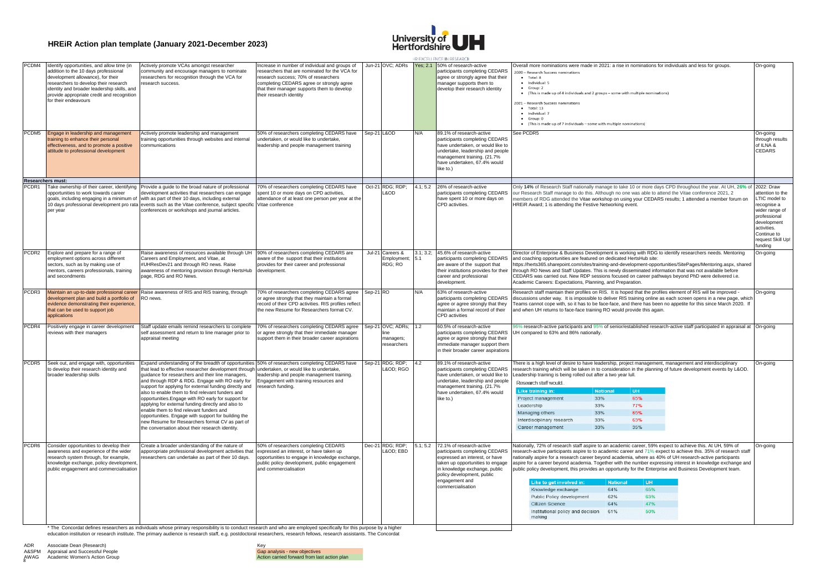

| <b>CDM4</b><br>Identify opportunities, and allow time (in<br>Actively promote VCAs amongst researcher<br>ncrease in number of individual and groups of<br>Jun-21 OVC; ADRs<br>Yes; 2.1 50% of research-active<br>Overall more nominations were made in 2021: a rise in nominations for individuals and less for groups.<br>On-going<br>participants completing CEDARS<br>addition to the 10 days professional<br>researchers that are nominated for the VCA for<br>community and encourage managers to nominate<br>2020 - Research Success nominations<br>development allowance), for their<br>researchers for recognition through the VCA for<br>research success; 70% of researchers<br>agree or strongly agree that their<br>$\bullet$ Total: 8<br>$\bullet$ Individual: 5<br>researchers to develop their research<br>completing CEDARS agree or strongly agree<br>manager supports them to<br>esearch success<br>$\bullet$ Group: 2<br>identity and broader leadership skills, and<br>that their manager supports them to develop<br>develop their research identity<br>. (This is made up of 4 individuals and 2 groups - some with multiple nominations)<br>provide appropriate credit and recognition<br>their research identity<br>for their endeavours<br>2021 - Research Success nominations<br>$\bullet$ Total: 13<br>· Individual: 7<br>$-$ Group: 0<br>• (This is made up of 7 individuals - some with multiple nominations)<br>PCDM5 Engage in leadership and management<br>50% of researchers completing CEDARS have<br>Sep-21 L&OD<br>See PCDR5<br>89.1% of research-active<br>Actively promote leadership and management<br>N/A<br>On-going<br>raining opportunities through websites and internal<br>undertaken, or would like to undertake.<br>participants completing CEDARS<br>through results<br>raining to enhance their personal<br>have undertaken, or would like to<br>of ILNA &<br>effectiveness, and to promote a positive<br>communications<br>leadership and people management training<br>attitude to professional development<br>undertake, leadership and people<br>CEDARS<br>management training. (21.7%<br>have undertaken, 67.4% would<br>like to.)<br>Researchers must:<br>70% of researchers completing CEDARS have<br>Oct-21 RDG; RDP;<br>4.1; 5.2<br>26% of research-active<br>Only 14% of Research Staff nationally manage to take 10 or more days CPD throughout the year. At UH, 26% of<br>2022: Draw<br>PCDR1 Take ownership of their career, identifying<br>Provide a guide to the broad nature of professional<br>participants completing CEDARS<br>opportunities to work towards career<br>development activities that researchers can engage<br>spent 10 or more days on CPD activities,<br>L&OD<br>our Research Staff manage to do this. Although no one was able to attend the Vitae conference 2021, 2<br>attention to the<br>goals, including engaging in a minimum of with as part of their 10 days, including external<br>attendance of at least one person per year at the<br>have spent 10 or more days on<br>members of RDG attended the Vitae workshop on using your CEDARS results; 1 attended a member forum on<br>LTIC model to<br>10 days professional development pro rata events such as the Vitae conference, subject specific<br>CPD activities.<br>Vitae conference<br>HREIR Award; 1 is attending the Festive Networking event.<br>recognise a<br>per year<br>conferences or workshops and journal articles.<br>wider range of<br>professional<br>development<br>activities.<br>Continue to<br>funding<br>PCDR2 Explore and prepare for a range of<br>Raise awareness of resources available through UH<br>90% of researchers completing CEDARS are<br>Jul-21 Careers &<br>3.1; 3.2;<br>45.6% of research-active<br>Director of Enterprise & Business Development is working with RDG to identify researchers needs. Mentoring<br>On-going<br>Careers and Employment, and Vitae, at<br>participants completing CEDARS<br>employment options across different<br>aware of the support that their institutions<br>Employment;<br>5.1<br>and coaching opportunities are featured on dedicated HertsHub site:<br>sectors, such as by making use of<br>#UHResDev21 and through RO news. Raise<br>provides for their career and professional<br>RDG; RO<br>are aware of the support that<br>https://herts365.sharepoint.com/sites/training-and-development-opportunities/SitePages/Mentoring.aspx, shared<br>nentors, careers professionals, training<br>awareness of mentoring provision through HertsHub<br>development.<br>their institutions provides for their<br>through RO News and Staff Updates. This is newly disseminated information that was not available before<br>page, RDG and RO News.<br>career and professional<br>CEDARS was carried out. New RDP sessions focused on career pathways beyond PhD were delivered i.e.<br>and secondments<br>Academic Careers: Expectations, Planning, and Preparation.<br>development.<br>PCDR3 Maintain an up-to-date professional career<br>Raise awareness of RIS and RIS training, through<br>70% of researchers completing CEDARS agree<br>Sep-21 RO<br>Research staff maintain their profiles on RIS. It is hoped that the profiles element of RIS will be improved -<br>63% of research-active<br>N/A<br>On-going<br>RO news.<br>or agree strongly that they maintain a formal<br>participants completing CEDARS<br>discussions under way. It is impossible to deliver RIS training online as each screen opens in a new page, which<br>development plan and build a portfolio of<br>record of their CPD activities. RIS profiles reflect<br>evidence demonstrating their experience,<br>agree or agree strongly that they<br>Teams cannot cope with, so it has to be face-face, and there has been no appetite for this since March 2020. If<br>that can be used to support job<br>the new Resume for Researchers format CV.<br>maintain a formal record of their<br>and when UH returns to face-face training RO would provide this again.<br>CPD activities<br>applications<br>Sep-21 OVC; ADRs;<br>PCDR4<br>70% of researchers completing CEDARS agree<br>1.2<br>60.5% of research-active<br>96% research-active participants and 95% of senior/established research-active staff participated in appraisal at<br>Positively engage in career development<br>Staff update emails remind researchers to complete<br>On-going<br>participants completing CEDARS<br>reviews with their managers<br>self assessment and return to line manager prior to<br>or agree strongly that their immediate manager<br>UH compared to 63% and 86% nationally.<br>support them in their broader career aspirations<br>appraisal meeting<br>managers;<br>agree or agree strongly that their<br>researchers<br>immediate manager support them<br>in their broader career aspirations<br>$Sep-21$<br>RDG; RDP;<br>PCDR5<br>Seek out, and engage with, opportunities<br>Expand understanding of the breadth of opportunities<br>50% of researchers completing CEDARS have<br>4.2<br>89.1% of research-active<br>here is a high level of desire to have leadership, project management, management and interdisciplinary"<br>On-going<br>L&OD RGO<br>to develop their research identity and<br>that lead to effective researcher development through<br>undertaken, or would like to undertake,<br>participants completing CEDARS<br>research training which will be taken in to consideration in the planning of future development events by L&OD.<br>broader leadership skills<br>guidance for researchers and their line managers,<br>leadership and people management training.<br>have undertaken, or would like to<br>Leadership training is being rolled out after a two year lull.<br>and through RDP & RDG. Engage with RO early for<br>Engagement with training resources and<br>undertake, leadership and people<br>Research staff would.<br>support for applying for external funding directly and<br>research funding.<br>management training. (21.7%<br>Like training in:<br><b>National</b><br>TIH<br>also to enable them to find relevant funders and<br>have undertaken, 67.4% would<br>33%<br>65%<br>Project management<br>opportunities. Engage with RO early for support for<br>like to.)<br>applying for external funding directly and also to<br>Leadership<br>33%<br>77%<br>enable them to find relevant funders and<br>65%<br>33%<br>Managing others<br>opportunities. Engage with support for building the<br>33%<br>63%<br>Interdisciplinary research<br>new Resume for Researchers format CV as part of<br>33%<br>35%<br>Career management<br>the conversation about their research identity.<br>PCDR6 Consider opportunities to develop their<br>Create a broader understanding of the nature of<br>50% of researchers completing CEDARS<br>Dec-21 RDG; RDP;<br>5.1; 5.2 72.1% of research-active<br>Nationally, 72% of research staff aspire to an academic career, 59% expect to achieve this. At UH, 59% of<br>On-going<br>awareness and experience of the wider<br>apporopriate professional development activities that<br>expressed an interest, or have taken up<br>L&OD EBD<br>participants completing CEDARS<br>research-active participants aspire to to academic career and 71% expect to achieve this. 35% of research staff<br>opportunities to engage in knowledge exchange,<br>research system through, for example,<br>esearchers can undertake as part of their 10 days.<br>expressed an interest, or have<br>nationally aspire for a research career beyond academia, where as 40% of UH research-active participants<br>knowledge exchange, policy development<br>public policy development, public engagement<br>taken up opportunities to engage<br>aspire for a career beyond academia. Together with the number expressing interest in knowledge exchange and<br>public engagement and commercialisation<br>and commercialisation<br>in knowledge exchange, public<br>public policy development, this provides an opportunity for the Enterprise and Business Development team.<br>policy development, public<br>engagement and<br>Like to get involved in:<br><b>National</b><br><b>UH</b><br>commercialisation<br>65%<br>64%<br>Knowledge exchange<br>62%<br>63%<br>Public Policy development<br>64%<br>47%<br>Citizen Science<br>Institutional policy and decision 61%<br>50%<br>making<br>* The Concordat defines researchers as individuals whose primary responsibility is to conduct research and who are employed specifically for this purpose by a higher |  |  |  |  | HR EXCELLENCE IN RESEARCH |  |
|-----------------------------------------------------------------------------------------------------------------------------------------------------------------------------------------------------------------------------------------------------------------------------------------------------------------------------------------------------------------------------------------------------------------------------------------------------------------------------------------------------------------------------------------------------------------------------------------------------------------------------------------------------------------------------------------------------------------------------------------------------------------------------------------------------------------------------------------------------------------------------------------------------------------------------------------------------------------------------------------------------------------------------------------------------------------------------------------------------------------------------------------------------------------------------------------------------------------------------------------------------------------------------------------------------------------------------------------------------------------------------------------------------------------------------------------------------------------------------------------------------------------------------------------------------------------------------------------------------------------------------------------------------------------------------------------------------------------------------------------------------------------------------------------------------------------------------------------------------------------------------------------------------------------------------------------------------------------------------------------------------------------------------------------------------------------------------------------------------------------------------------------------------------------------------------------------------------------------------------------------------------------------------------------------------------------------------------------------------------------------------------------------------------------------------------------------------------------------------------------------------------------------------------------------------------------------------------------------------------------------------------------------------------------------------------------------------------------------------------------------------------------------------------------------------------------------------------------------------------------------------------------------------------------------------------------------------------------------------------------------------------------------------------------------------------------------------------------------------------------------------------------------------------------------------------------------------------------------------------------------------------------------------------------------------------------------------------------------------------------------------------------------------------------------------------------------------------------------------------------------------------------------------------------------------------------------------------------------------------------------------------------------------------------------------------------------------------------------------------------------------------------------------------------------------------------------------------------------------------------------------------------------------------------------------------------------------------------------------------------------------------------------------------------------------------------------------------------------------------------------------------------------------------------------------------------------------------------------------------------------------------------------------------------------------------------------------------------------------------------------------------------------------------------------------------------------------------------------------------------------------------------------------------------------------------------------------------------------------------------------------------------------------------------------------------------------------------------------------------------------------------------------------------------------------------------------------------------------------------------------------------------------------------------------------------------------------------------------------------------------------------------------------------------------------------------------------------------------------------------------------------------------------------------------------------------------------------------------------------------------------------------------------------------------------------------------------------------------------------------------------------------------------------------------------------------------------------------------------------------------------------------------------------------------------------------------------------------------------------------------------------------------------------------------------------------------------------------------------------------------------------------------------------------------------------------------------------------------------------------------------------------------------------------------------------------------------------------------------------------------------------------------------------------------------------------------------------------------------------------------------------------------------------------------------------------------------------------------------------------------------------------------------------------------------------------------------------------------------------------------------------------------------------------------------------------------------------------------------------------------------------------------------------------------------------------------------------------------------------------------------------------------------------------------------------------------------------------------------------------------------------------------------------------------------------------------------------------------------------------------------------------------------------------------------------------------------------------------------------------------------------------------------------------------------------------------------------------------------------------------------------------------------------------------------------------------------------------------------------------------------------------------------------------------------------------------------------------------------------------------------------------------------------------------------------------------------------------------------------------------------------------------------------------------------------------------------------------------------------------------------------------------------------------------------------------------------------------------------------------------------------------------------------------------------------------------------------------------------------------------------------------------------------------------------------------------------------------------------------------------------------------------------------------------------------------------------------------------------------------------------------------------------------------------------------------------------------------------------------------------------------------------------------------------------------------------------------------------------------------------------------------------------------------------------------------------------------------------------------------------------------------------------------------------------------------------------------------------------------------------------------------------------------------------------------------------------------------------------------------------------------------------------------------------------------------------------------------------------------------------------------------------------------------------------------------------------------------------------------------------------------------------------------------------------------------------------------------------------------------------------------------------------------------------------------------------------------------------------------------------------------------------------------------------------------------------------------------------------------------------------------------------------------------------------------------------------------------------------------------------------------------------------------------------------------------------------------------------------------------------------------------------------------------------------------------------------------------------------------------------------------------------------------------------------------------------------------------------------------------------------------------------------------------------------------------------------------------------------------------------------------------------------------------------------------------------------------------------------------------------------------------------------------------------------------------------------------------------------------------------------------------------------------------------------------------------------------------------------------------------------------------------------------------------------------------------------------------------------------------------------------------------------------------------------------------------------------------------------------------------------------|--|--|--|--|---------------------------|--|
|                                                                                                                                                                                                                                                                                                                                                                                                                                                                                                                                                                                                                                                                                                                                                                                                                                                                                                                                                                                                                                                                                                                                                                                                                                                                                                                                                                                                                                                                                                                                                                                                                                                                                                                                                                                                                                                                                                                                                                                                                                                                                                                                                                                                                                                                                                                                                                                                                                                                                                                                                                                                                                                                                                                                                                                                                                                                                                                                                                                                                                                                                                                                                                                                                                                                                                                                                                                                                                                                                                                                                                                                                                                                                                                                                                                                                                                                                                                                                                                                                                                                                                                                                                                                                                                                                                                                                                                                                                                                                                                                                                                                                                                                                                                                                                                                                                                                                                                                                                                                                                                                                                                                                                                                                                                                                                                                                                                                                                                                                                                                                                                                                                                                                                                                                                                                                                                                                                                                                                                                                                                                                                                                                                                                                                                                                                                                                                                                                                                                                                                                                                                                                                                                                                                                                                                                                                                                                                                                                                                                                                                                                                                                                                                                                                                                                                                                                                                                                                                                                                                                                                                                                                                                                                                                                                                                                                                                                                                                                                                                                                                                                                                                                                                                                                                                                                                                                                                                                                                                                                                                                                                                                                                                                                                                                                                                                                                                                                                                                                                                                                                                                                                                                                                                                                                                                                                                                                                                                                                                                                                                                                                                                                                                                                                                                                                                                                                                                                                                                                                                                                                                                                                                                                                                                                                                                                                                                                                                                                                                                                                                                                                                                                   |  |  |  |  |                           |  |
|                                                                                                                                                                                                                                                                                                                                                                                                                                                                                                                                                                                                                                                                                                                                                                                                                                                                                                                                                                                                                                                                                                                                                                                                                                                                                                                                                                                                                                                                                                                                                                                                                                                                                                                                                                                                                                                                                                                                                                                                                                                                                                                                                                                                                                                                                                                                                                                                                                                                                                                                                                                                                                                                                                                                                                                                                                                                                                                                                                                                                                                                                                                                                                                                                                                                                                                                                                                                                                                                                                                                                                                                                                                                                                                                                                                                                                                                                                                                                                                                                                                                                                                                                                                                                                                                                                                                                                                                                                                                                                                                                                                                                                                                                                                                                                                                                                                                                                                                                                                                                                                                                                                                                                                                                                                                                                                                                                                                                                                                                                                                                                                                                                                                                                                                                                                                                                                                                                                                                                                                                                                                                                                                                                                                                                                                                                                                                                                                                                                                                                                                                                                                                                                                                                                                                                                                                                                                                                                                                                                                                                                                                                                                                                                                                                                                                                                                                                                                                                                                                                                                                                                                                                                                                                                                                                                                                                                                                                                                                                                                                                                                                                                                                                                                                                                                                                                                                                                                                                                                                                                                                                                                                                                                                                                                                                                                                                                                                                                                                                                                                                                                                                                                                                                                                                                                                                                                                                                                                                                                                                                                                                                                                                                                                                                                                                                                                                                                                                                                                                                                                                                                                                                                                                                                                                                                                                                                                                                                                                                                                                                                                                                                                                   |  |  |  |  |                           |  |
| request Skill Up!                                                                                                                                                                                                                                                                                                                                                                                                                                                                                                                                                                                                                                                                                                                                                                                                                                                                                                                                                                                                                                                                                                                                                                                                                                                                                                                                                                                                                                                                                                                                                                                                                                                                                                                                                                                                                                                                                                                                                                                                                                                                                                                                                                                                                                                                                                                                                                                                                                                                                                                                                                                                                                                                                                                                                                                                                                                                                                                                                                                                                                                                                                                                                                                                                                                                                                                                                                                                                                                                                                                                                                                                                                                                                                                                                                                                                                                                                                                                                                                                                                                                                                                                                                                                                                                                                                                                                                                                                                                                                                                                                                                                                                                                                                                                                                                                                                                                                                                                                                                                                                                                                                                                                                                                                                                                                                                                                                                                                                                                                                                                                                                                                                                                                                                                                                                                                                                                                                                                                                                                                                                                                                                                                                                                                                                                                                                                                                                                                                                                                                                                                                                                                                                                                                                                                                                                                                                                                                                                                                                                                                                                                                                                                                                                                                                                                                                                                                                                                                                                                                                                                                                                                                                                                                                                                                                                                                                                                                                                                                                                                                                                                                                                                                                                                                                                                                                                                                                                                                                                                                                                                                                                                                                                                                                                                                                                                                                                                                                                                                                                                                                                                                                                                                                                                                                                                                                                                                                                                                                                                                                                                                                                                                                                                                                                                                                                                                                                                                                                                                                                                                                                                                                                                                                                                                                                                                                                                                                                                                                                                                                                                                                                                 |  |  |  |  |                           |  |
|                                                                                                                                                                                                                                                                                                                                                                                                                                                                                                                                                                                                                                                                                                                                                                                                                                                                                                                                                                                                                                                                                                                                                                                                                                                                                                                                                                                                                                                                                                                                                                                                                                                                                                                                                                                                                                                                                                                                                                                                                                                                                                                                                                                                                                                                                                                                                                                                                                                                                                                                                                                                                                                                                                                                                                                                                                                                                                                                                                                                                                                                                                                                                                                                                                                                                                                                                                                                                                                                                                                                                                                                                                                                                                                                                                                                                                                                                                                                                                                                                                                                                                                                                                                                                                                                                                                                                                                                                                                                                                                                                                                                                                                                                                                                                                                                                                                                                                                                                                                                                                                                                                                                                                                                                                                                                                                                                                                                                                                                                                                                                                                                                                                                                                                                                                                                                                                                                                                                                                                                                                                                                                                                                                                                                                                                                                                                                                                                                                                                                                                                                                                                                                                                                                                                                                                                                                                                                                                                                                                                                                                                                                                                                                                                                                                                                                                                                                                                                                                                                                                                                                                                                                                                                                                                                                                                                                                                                                                                                                                                                                                                                                                                                                                                                                                                                                                                                                                                                                                                                                                                                                                                                                                                                                                                                                                                                                                                                                                                                                                                                                                                                                                                                                                                                                                                                                                                                                                                                                                                                                                                                                                                                                                                                                                                                                                                                                                                                                                                                                                                                                                                                                                                                                                                                                                                                                                                                                                                                                                                                                                                                                                                                                   |  |  |  |  |                           |  |
|                                                                                                                                                                                                                                                                                                                                                                                                                                                                                                                                                                                                                                                                                                                                                                                                                                                                                                                                                                                                                                                                                                                                                                                                                                                                                                                                                                                                                                                                                                                                                                                                                                                                                                                                                                                                                                                                                                                                                                                                                                                                                                                                                                                                                                                                                                                                                                                                                                                                                                                                                                                                                                                                                                                                                                                                                                                                                                                                                                                                                                                                                                                                                                                                                                                                                                                                                                                                                                                                                                                                                                                                                                                                                                                                                                                                                                                                                                                                                                                                                                                                                                                                                                                                                                                                                                                                                                                                                                                                                                                                                                                                                                                                                                                                                                                                                                                                                                                                                                                                                                                                                                                                                                                                                                                                                                                                                                                                                                                                                                                                                                                                                                                                                                                                                                                                                                                                                                                                                                                                                                                                                                                                                                                                                                                                                                                                                                                                                                                                                                                                                                                                                                                                                                                                                                                                                                                                                                                                                                                                                                                                                                                                                                                                                                                                                                                                                                                                                                                                                                                                                                                                                                                                                                                                                                                                                                                                                                                                                                                                                                                                                                                                                                                                                                                                                                                                                                                                                                                                                                                                                                                                                                                                                                                                                                                                                                                                                                                                                                                                                                                                                                                                                                                                                                                                                                                                                                                                                                                                                                                                                                                                                                                                                                                                                                                                                                                                                                                                                                                                                                                                                                                                                                                                                                                                                                                                                                                                                                                                                                                                                                                                                                   |  |  |  |  |                           |  |
|                                                                                                                                                                                                                                                                                                                                                                                                                                                                                                                                                                                                                                                                                                                                                                                                                                                                                                                                                                                                                                                                                                                                                                                                                                                                                                                                                                                                                                                                                                                                                                                                                                                                                                                                                                                                                                                                                                                                                                                                                                                                                                                                                                                                                                                                                                                                                                                                                                                                                                                                                                                                                                                                                                                                                                                                                                                                                                                                                                                                                                                                                                                                                                                                                                                                                                                                                                                                                                                                                                                                                                                                                                                                                                                                                                                                                                                                                                                                                                                                                                                                                                                                                                                                                                                                                                                                                                                                                                                                                                                                                                                                                                                                                                                                                                                                                                                                                                                                                                                                                                                                                                                                                                                                                                                                                                                                                                                                                                                                                                                                                                                                                                                                                                                                                                                                                                                                                                                                                                                                                                                                                                                                                                                                                                                                                                                                                                                                                                                                                                                                                                                                                                                                                                                                                                                                                                                                                                                                                                                                                                                                                                                                                                                                                                                                                                                                                                                                                                                                                                                                                                                                                                                                                                                                                                                                                                                                                                                                                                                                                                                                                                                                                                                                                                                                                                                                                                                                                                                                                                                                                                                                                                                                                                                                                                                                                                                                                                                                                                                                                                                                                                                                                                                                                                                                                                                                                                                                                                                                                                                                                                                                                                                                                                                                                                                                                                                                                                                                                                                                                                                                                                                                                                                                                                                                                                                                                                                                                                                                                                                                                                                                                                   |  |  |  |  |                           |  |
|                                                                                                                                                                                                                                                                                                                                                                                                                                                                                                                                                                                                                                                                                                                                                                                                                                                                                                                                                                                                                                                                                                                                                                                                                                                                                                                                                                                                                                                                                                                                                                                                                                                                                                                                                                                                                                                                                                                                                                                                                                                                                                                                                                                                                                                                                                                                                                                                                                                                                                                                                                                                                                                                                                                                                                                                                                                                                                                                                                                                                                                                                                                                                                                                                                                                                                                                                                                                                                                                                                                                                                                                                                                                                                                                                                                                                                                                                                                                                                                                                                                                                                                                                                                                                                                                                                                                                                                                                                                                                                                                                                                                                                                                                                                                                                                                                                                                                                                                                                                                                                                                                                                                                                                                                                                                                                                                                                                                                                                                                                                                                                                                                                                                                                                                                                                                                                                                                                                                                                                                                                                                                                                                                                                                                                                                                                                                                                                                                                                                                                                                                                                                                                                                                                                                                                                                                                                                                                                                                                                                                                                                                                                                                                                                                                                                                                                                                                                                                                                                                                                                                                                                                                                                                                                                                                                                                                                                                                                                                                                                                                                                                                                                                                                                                                                                                                                                                                                                                                                                                                                                                                                                                                                                                                                                                                                                                                                                                                                                                                                                                                                                                                                                                                                                                                                                                                                                                                                                                                                                                                                                                                                                                                                                                                                                                                                                                                                                                                                                                                                                                                                                                                                                                                                                                                                                                                                                                                                                                                                                                                                                                                                                                                   |  |  |  |  |                           |  |
|                                                                                                                                                                                                                                                                                                                                                                                                                                                                                                                                                                                                                                                                                                                                                                                                                                                                                                                                                                                                                                                                                                                                                                                                                                                                                                                                                                                                                                                                                                                                                                                                                                                                                                                                                                                                                                                                                                                                                                                                                                                                                                                                                                                                                                                                                                                                                                                                                                                                                                                                                                                                                                                                                                                                                                                                                                                                                                                                                                                                                                                                                                                                                                                                                                                                                                                                                                                                                                                                                                                                                                                                                                                                                                                                                                                                                                                                                                                                                                                                                                                                                                                                                                                                                                                                                                                                                                                                                                                                                                                                                                                                                                                                                                                                                                                                                                                                                                                                                                                                                                                                                                                                                                                                                                                                                                                                                                                                                                                                                                                                                                                                                                                                                                                                                                                                                                                                                                                                                                                                                                                                                                                                                                                                                                                                                                                                                                                                                                                                                                                                                                                                                                                                                                                                                                                                                                                                                                                                                                                                                                                                                                                                                                                                                                                                                                                                                                                                                                                                                                                                                                                                                                                                                                                                                                                                                                                                                                                                                                                                                                                                                                                                                                                                                                                                                                                                                                                                                                                                                                                                                                                                                                                                                                                                                                                                                                                                                                                                                                                                                                                                                                                                                                                                                                                                                                                                                                                                                                                                                                                                                                                                                                                                                                                                                                                                                                                                                                                                                                                                                                                                                                                                                                                                                                                                                                                                                                                                                                                                                                                                                                                                                                   |  |  |  |  |                           |  |
|                                                                                                                                                                                                                                                                                                                                                                                                                                                                                                                                                                                                                                                                                                                                                                                                                                                                                                                                                                                                                                                                                                                                                                                                                                                                                                                                                                                                                                                                                                                                                                                                                                                                                                                                                                                                                                                                                                                                                                                                                                                                                                                                                                                                                                                                                                                                                                                                                                                                                                                                                                                                                                                                                                                                                                                                                                                                                                                                                                                                                                                                                                                                                                                                                                                                                                                                                                                                                                                                                                                                                                                                                                                                                                                                                                                                                                                                                                                                                                                                                                                                                                                                                                                                                                                                                                                                                                                                                                                                                                                                                                                                                                                                                                                                                                                                                                                                                                                                                                                                                                                                                                                                                                                                                                                                                                                                                                                                                                                                                                                                                                                                                                                                                                                                                                                                                                                                                                                                                                                                                                                                                                                                                                                                                                                                                                                                                                                                                                                                                                                                                                                                                                                                                                                                                                                                                                                                                                                                                                                                                                                                                                                                                                                                                                                                                                                                                                                                                                                                                                                                                                                                                                                                                                                                                                                                                                                                                                                                                                                                                                                                                                                                                                                                                                                                                                                                                                                                                                                                                                                                                                                                                                                                                                                                                                                                                                                                                                                                                                                                                                                                                                                                                                                                                                                                                                                                                                                                                                                                                                                                                                                                                                                                                                                                                                                                                                                                                                                                                                                                                                                                                                                                                                                                                                                                                                                                                                                                                                                                                                                                                                                                                                   |  |  |  |  |                           |  |

\* The Concordat defines researchers as individuals whose primary responsibility is to conduct research and who are employed specifically for this purpose by a higher<br>education institution or research institute. The primary